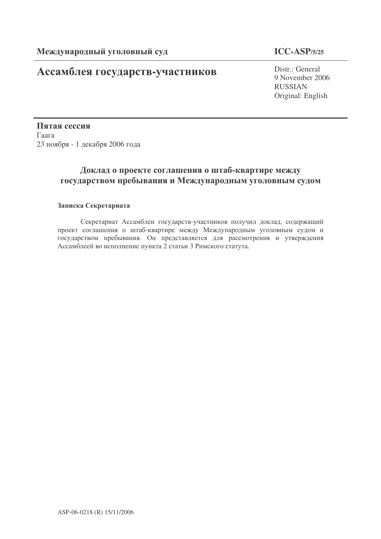# Ассамблея государств-участников

# **ICC-ASP/5/25**

Distr.: General 9 November 2006 RUSSIAN Original: English

Пятая сессия Гаага 23 ноября - 1 декабря 2006 года

# Доклад о проекте соглашения о шта<mark>б-</mark>квартире между государством пребывания и Международным уголовным судом

# Записка Секретариата

Секретариат Ассамблеи государств-участников получил доклад, содержащий проект соглашения о штаб-квартире между Международным уголовным судом и государством пребывания. Он представляется для рассмотрения и утверждения Ассамблеей во исполнение пункта 2 статьи 3 Римского статута.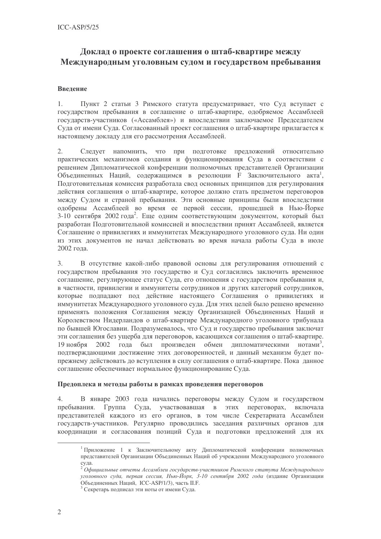# Доклад о проекте соглашения о штаб-квартире между Международным уголовным судом и государством пребывания

# Ввеление

Пункт 2 статьи 3 Римского статута предусматривает, что Суд вступает с  $1.$ государством пребывания в соглашение о штаб-квартире, одобряемое Ассамблеей государств-участников («Ассамблея») и впоследствии заключаемое Председателем Суда от имени Суда. Согласованный проект соглашения о штаб-квартире прилагается к настоящему докладу для его рассмотрения Ассамблеей.

 $\overline{2}$ . Следует напомнить, что при подготовке предложений относительно практических механизмов создания и функционирования Суда в соответствии с решением Дипломатической конференции полномочных представителей Организации Объединенных Наций, содержащимся в резолюции F Заключительного акта<sup>1</sup>, Подготовительная комиссия разработала свод основных принципов для регулирования действия соглашения о штаб-квартире, которое должно стать предметом переговоров между Судом и страной пребывания. Эти основные принципы были впоследствии одобрены Ассамблеей во время ее первой сессии, прошедшей в Нью-Йорке 3-10 сентября 2002 года<sup>2</sup>. Еще одним соответствующим документом, который был разработан Подготовительной комиссией и впоследствии принят Ассамблеей, является Соглашение о привилегиях и иммунитетах Международного уголовного суда. Ни один из этих документов не начал действовать во время начала работы Суда в июле 2002 года.

 $3.$ В отсутствие какой-либо правовой основы для регулирования отношений с государством пребывания это государство и Суд согласились заключить временное соглашение, регулирующее статус Суда, его отношения с государством пребывания и, в частности, привилегии и иммунитеты сотрудников и других категорий сотрудников, которые подпадают под действие настоящего Соглашения о привилегиях и иммунитетах Международного уголовного суда. Для этих целей было решено временно применять положения Соглашения между Организацией Объединенных Наций и Королевством Нидерландов о штаб-квартире Международного уголовного трибунала по бывшей Югославии. Подразумевалось, что Суд и государство пребывания заключат эти соглашения без ущерба для переговоров, касающихся соглашения о штаб-квартире. 2002 года был произведен обмен дипломатическими нотами<sup>3</sup>, 19 ноября подтверждающими достижение этих договоренностей, и данный механизм будет попрежнему действовать до вступления в силу соглашения о штаб-квартире. Пока данное соглашение обеспечивает нормальное функционирование Суда.

# Предоплека и методы работы в рамках проведения переговоров

 $\overline{4}$ . В январе 2003 года начались переговоры между Судом и государством пребывания. Группа Суда, участвовавшая в этих переговорах, включала представителей каждого из его органов, в том числе Секретариата Ассамблеи государств-участников. Регулярно проводились заседания различных органов для координации и согласования позиций Суда и подготовки предложений для их

Приложение 1 к Заключительному акту Дипломатической конференции полномочных представителей Организации Объединенных Наций об учреждении Международного уголовного

суда.<br><sup>2</sup> Официальные отчеты Ассамблеи государств-участников Римского статута Международного уголовного суда, первая сессия, Нью-Йорк, 3-10 сентября 2002 года (издание Организации Объединенных Наций, ICC-ASP/1/3), часть II.F.

<sup>&</sup>lt;sup>3</sup> Секретарь подписал эти ноты от имени Суда.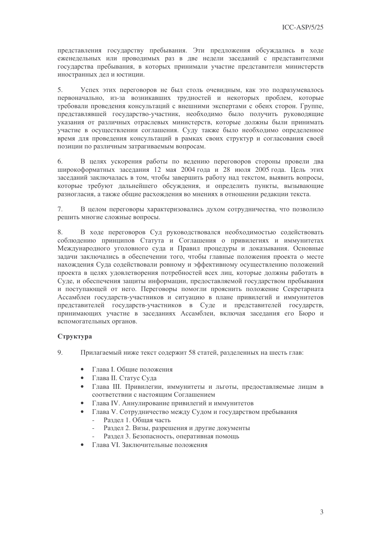представления государству пребывания. Эти предложения обсуждались в ходе еженедельных или проводимых раз в две недели заседаний с представителями государства пребывания, в которых принимали участие представители министерств иностранных дел и юстиции.

5. Успех этих переговоров не был столь очевидным, как это подразумевалось первоначально, из-за возникавших трудностей и некоторых проблем, которые требовали провеления консультаций с внешними экспертами с обеих сторон. Группе, представлявшей государство-участник, необходимо было получить руководящие указания от различных отраслевых министерств, которые должны были принимать участие в осуществлении соглашения. Суду также было необходимо определенное время для проведения консультаций в рамках своих структур и согласования своей позиции по различным затрагиваемым вопросам.

6. В целях ускорения работы по ведению переговоров стороны провели два широкоформатных заседания 12 мая 2004 года и 28 июля 2005 года. Цель этих заседаний заключалась в том, чтобы завершить работу над текстом, выявить вопросы, которые требуют дальнейшего обсуждения, и определить пункты, вызывающие разногласия, а также общие расхожления во мнениях в отношении релакции текста.

 $\tau$ В целом переговоры характеризовались лухом сотрудничества, что позволило решить многие сложные вопросы.

В ходе переговоров Суд руководствовался необходимостью содействовать 8. соблюдению принципов Статута и Соглашения о привилегиях и иммунитетах Международного уголовного суда и Правил процедуры и доказывания. Основные залачи заключались в обеспечении того, чтобы главные положения проекта о месте нахождения Суда содействовали ровному и эффективному осуществлению положений проекта в целях удовлетворения потребностей всех лиц, которые должны работать в Суде, и обеспечения защиты информации, предоставляемой государством пребывания и поступающей от него. Переговоры помогли прояснить положение Секретариата Ассамблеи государств-участников и ситуацию в плане привилегий и иммунитетов представителей государств-участников в Суде и представителей государств, принимающих участие в заседаниях Ассамблеи, включая заседания его Бюро и вспомогательных органов.

# Структура

9. Прилагаемый ниже текст содержит 58 статей, разделенных на шесть глав:

- Глава I. Общие положения  $\bullet$
- Глава II. Статус Сула
- Глава III. Привилегии, иммунитеты и льготы, предоставляемые лицам в соответствии с настоящим Соглашением
- Глава IV. Аннулирование привилегий и иммунитетов
- Глава V. Сотрудничество между Судом и государством пребывания
	- Раздел 1. Общая часть  $\sim$
	- Раздел 2. Визы, разрешения и другие документы
	- Раздел 3. Безопасность, оперативная помощь
- Глава VI Заключительные положения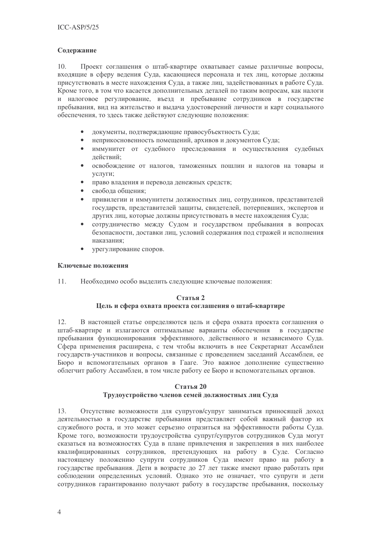# Содержание

Проект соглашения о штаб-квартире охватывает самые различные вопросы,  $10.$ входящие в сферу ведения Суда, касающиеся персонала и тех лиц, которые должны присутствовать в месте нахождения Суда, а также лиц, задействованных в работе Суда. Кроме того, в том что касается дополнительных деталей по таким вопросам, как налоги и налоговое регулирование, въезд и пребывание сотрудников в государстве пребывания, вид на жительство и выдача удостоверений личности и карт социального обеспечения, то здесь также действуют следующие положения:

- локументы, подтверждающие правосубъектность Суда;
- неприкосновенность помещений, архивов и документов Суда;
- иммунитет от судебного преследования и осуществления судебных действий;
- $\bullet$ освобождение от налогов, таможенных пошлин и налогов на товары и услуги:
- право владения и перевода денежных средств;
- свобода общения;
- привилегии и иммунитеты должностных лиц, сотрудников, представителей государств, представителей защиты, свидетелей, потерпевших, экспертов и лругих лиц, которые должны присутствовать в месте нахождения Суда;
- сотрудничество между Судом и государством пребывания в вопросах безопасности, доставки лиц, условий содержания под стражей и исполнения наказания;
- урегулирование споров.

# Ключевые положения

 $11.$ Необходимо особо выделить следующие ключевые положения:

# Статья 2 Цель и сфера охвата проекта соглашения о штаб-квартире

В настоящей статье определяются цель и сфера охвата проекта соглашения о  $12.$ штаб-квартире и излагаются оптимальные варианты обеспечения в государстве пребывания функционирования эффективного, действенного и независимого Суда. Сфера применения расширена, с тем чтобы включить в нее Секретариат Ассамблеи государств-участников и вопросы, связанные с проведением заседаний Ассамблеи, ее Бюро и вспомогательных органов в Гааге. Это важное дополнение существенно облегчит работу Ассамблеи, в том числе работу ее Бюро и вспомогательных органов.

# Статья 20

# Трудоустройство членов семей должностных лиц Суда

 $13$ Отсутствие возможности для супругов/супруг заниматься приносящей доход деятельностью в государстве пребывания представляет собой важный фактор их служебного роста, и это может серьезно отразиться на эффективности работы Суда. Кроме того, возможности трудоустройства супруг/супругов сотрудников Суда могут сказаться на возможностях Суда в плане привлечения и закрепления в них наиболее квалифицированных сотрудников, претендующих на работу в Суде. Согласно настоящему положению супруги сотрудников Суда имеют право на работу в государстве пребывания. Дети в возрасте до 27 лет также имеют право работать при соблюдении определенных условий. Однако это не означает, что супруги и дети сотрудников гарантированно получают работу в государстве пребывания, поскольку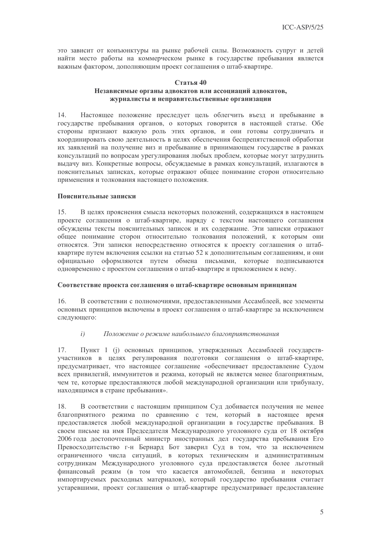это зависит от конъюнктуры на рынке рабочей силы. Возможность супруг и детей найти место работы на коммерческом рынке в государстве пребывания является важным фактором, дополняющим проект соглашения о штаб-квартире.

#### Статья 40 Независимые органы адвокатов или ассоциаций адвокатов, журналисты и неправительственные организации

14. Настоящее положение преследует цель облегчить въезд и пребывание в государстве пребывания органов, о которых говорится в настоящей статье. Обе стороны признают важную роль этих органов, и они готовы сотрудничать и координировать свою деятельность в целях обеспечения беспрепятственной обработки их заявлений на получение виз и пребывание в принимающем государстве в рамках консультаций по вопросам урегулирования любых проблем, которые могут затруднить выдачу виз. Конкретные вопросы, обсуждаемые в рамках консультаций, излагаются в пояснительных записках, которые отражают общее понимание сторон относительно применения и толкования настоящего положения.

#### Пояснительные записки

В целях прояснения смысла некоторых положений, содержащихся в настоящем  $15.$ проекте соглашения о штаб-квартире, наряду с текстом настоящего соглашения обсуждены тексты пояснительных записок и их содержание. Эти записки отражают общее понимание сторон относительно толкования положений, к которым они относятся. Эти записки непосредственно относятся к проекту соглашения о штабквартире путем включения ссылки на статью 52 к дополнительным соглашениям, и они официально оформляются путем обмена письмами, которые подписываются одновременно с проектом соглашения о штаб-квартире и приложением к нему.

# Соответствие проекта соглашения о штаб-квартире основным принципам

В соответствии с полномочиями, предоставленными Ассамблеей, все элементы 16. основных принципов включены в проект соглашения о штаб-квартире за исключением следующего:

#### $i)$ Положение о режиме наибольшего благоприятствования

17. Пункт 1 (j) основных принципов, утвержденных Ассамблеей государствучастников в целях регулирования подготовки соглашения о штаб-квартире, предусматривает, что настоящее соглашение «обеспечивает предоставление Судом всех привилегий, иммунитетов и режима, который не является менее благоприятным, чем те, которые предоставляются любой международной организации или трибуналу, находящимся в стране пребывания».

18. В соответствии с настоящим принципом Суд добивается получения не менее благоприятного режима по сравнению с тем, который в настоящее время предоставляется любой международной организации в государстве пребывания. В своем письме на имя Председателя Международного уголовного суда от 18 октября 2006 года достопочтенный министр иностранных дел государства пребывания Его Превосходительство г-н Бернард Бот заверил Суд в том, что за исключением ограниченного числа ситуаций, в которых техническим и административным сотрудникам Международного уголовного суда предоставляется более льготный финансовый режим (в том что касается автомобилей, бензина и некоторых импортируемых расходных материалов), который государство пребывания считает устаревшими, проект соглашения о штаб-квартире предусматривает предоставление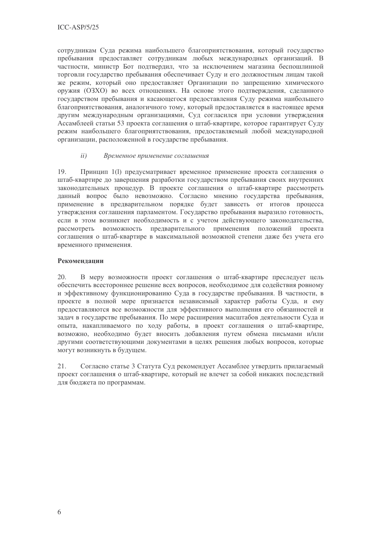сотрудникам Суда режима наибольшего благоприятствования, который государство пребывания предоставляет сотрудникам любых международных организаций. В частности, министр Бот подтвердил, что за исключением магазина беспошлинной торговли государство пребывания обеспечивает Суду и его должностным лицам такой же режим, который оно предоставляет Организации по запрещению химического оружия (ОЗХО) во всех отношениях. На основе этого подтверждения, сделанного государством пребывания и касающегося предоставления Суду режима наибольшего благоприятствования, аналогичного тому, который предоставляется в настоящее время другим международным организациями, Суд согласился при условии утверждения Ассамблеей статьи 53 проекта соглашения о штаб-квартире, которое гарантирует Суду режим наибольшего благоприятствования, предоставляемый любой международной организации, расположенной в государстве пребывания.

#### $ii)$ Временное применение соглашения

Принцип 1(1) предусматривает временное применение проекта соглашения о 19. штаб-квартире до завершения разработки государством пребывания своих внутренних законодательных процедур. В проекте соглашения о штаб-квартире рассмотреть данный вопрос было невозможно. Согласно мнению государства пребывания, применение в предварительном порядке будет зависеть от итогов процесса утверждения соглашения парламентом. Государство пребывания выразило готовность, если в этом возникнет необходимость и с учетом действующего законодательства, рассмотреть возможность предварительного применения положений проекта соглашения о штаб-квартире в максимальной возможной степени даже без учета его временного применения.

# Рекоменлании

20. В меру возможности проект соглашения о штаб-квартире преследует цель обеспечить всестороннее решение всех вопросов, необходимое для содействия ровному и эффективному функционированию Суда в государстве пребывания. В частности, в проекте в полной мере признается независимый характер работы Суда, и ему предоставляются все возможности для эффективного выполнения его обязанностей и задач в государстве пребывания. По мере расширения масштабов деятельности Суда и опыта, накапливаемого по ходу работы, в проект соглашения о штаб-квартире, возможно, необходимо будет вносить добавления путем обмена письмами и/или другими соответствующими документами в целях решения любых вопросов, которые могут возникнуть в будущем.

21. Согласно статье 3 Статута Суд рекомендует Ассамблее утвердить прилагаемый проект соглашения о штаб-квартире, который не влечет за собой никаких последствий для бюджета по программам.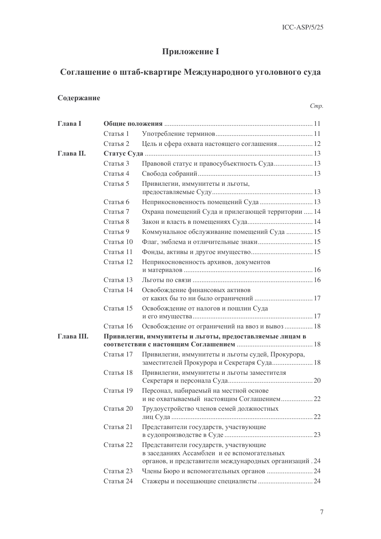# Приложение I

# Соглашение о штаб-квартире Международного уголовного суда

# Содержание

| Глава I    |                                                          |                                                                                                                                                |  |
|------------|----------------------------------------------------------|------------------------------------------------------------------------------------------------------------------------------------------------|--|
|            | Статья 1                                                 |                                                                                                                                                |  |
|            | Статья 2                                                 | Цель и сфера охвата настоящего соглашения 12                                                                                                   |  |
| Глава II.  |                                                          |                                                                                                                                                |  |
|            | Статья 3                                                 | Правовой статус и правосубъектность Суда 13                                                                                                    |  |
|            | Статья 4                                                 |                                                                                                                                                |  |
|            | Статья 5                                                 | Привилегии, иммунитеты и льготы,                                                                                                               |  |
|            | Статья 6                                                 |                                                                                                                                                |  |
|            | Статья 7                                                 | Охрана помещений Суда и прилегающей территории  14                                                                                             |  |
|            | Статья 8                                                 |                                                                                                                                                |  |
|            | Статья 9                                                 | Коммунальное обслуживание помещений Суда  15                                                                                                   |  |
|            | Статья 10                                                |                                                                                                                                                |  |
|            | Статья 11                                                |                                                                                                                                                |  |
|            | Статья 12                                                | Неприкосновенность архивов, документов                                                                                                         |  |
|            | Статья 13                                                |                                                                                                                                                |  |
|            | Статья 14                                                | Освобождение финансовых активов                                                                                                                |  |
|            | Статья 15                                                | Освобождение от налогов и пошлин Суда                                                                                                          |  |
|            | Статья 16                                                | Освобождение от ограничений на ввоз и вывоз  18                                                                                                |  |
| Глава III. | Привилегии, иммунитеты и льготы, предоставляемые лицам в |                                                                                                                                                |  |
|            | Статья 17                                                | Привилегии, иммунитеты и льготы судей, Прокурора,<br>заместителей Прокурора и Секретаря Суда 18                                                |  |
|            | Статья 18                                                | Привилегии, иммунитеты и льготы заместителя                                                                                                    |  |
|            | Статья 19                                                | Персонал, набираемый на местной основе<br>и не охватываемый настоящим Соглашением 22                                                           |  |
|            | Статья 20                                                | Трудоустройство членов семей должностных                                                                                                       |  |
|            | Статья 21                                                | Представители государств, участвующие                                                                                                          |  |
|            | Статья 22                                                | Представители государств, участвующие<br>в заседаниях Ассамблеи и ее вспомогательных<br>органов, и представители международных организаций. 24 |  |
|            | Статья 23                                                | Члены Бюро и вспомогательных органов  24                                                                                                       |  |
|            | Статья 24                                                |                                                                                                                                                |  |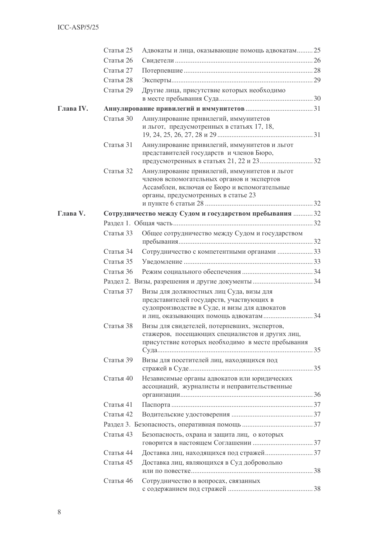|           | Статья 25 | Адвокаты и лица, оказывающие помощь адвокатам 25                                                                                                                                   |  |  |  |
|-----------|-----------|------------------------------------------------------------------------------------------------------------------------------------------------------------------------------------|--|--|--|
|           | Статья 26 |                                                                                                                                                                                    |  |  |  |
|           | Статья 27 |                                                                                                                                                                                    |  |  |  |
|           | Статья 28 |                                                                                                                                                                                    |  |  |  |
|           | Статья 29 | Другие лица, присутствие которых необходимо                                                                                                                                        |  |  |  |
| Глава IV. |           |                                                                                                                                                                                    |  |  |  |
|           | Статья 30 | Аннулирование привилегий, иммунитетов                                                                                                                                              |  |  |  |
|           |           | и льгот, предусмотренных в статьях 17, 18,                                                                                                                                         |  |  |  |
|           | Статья 31 | Аннулирование привилегий, иммунитетов и льгот<br>представителей государств и членов Бюро,                                                                                          |  |  |  |
|           | Статья 32 | Аннулирование привилегий, иммунитетов и льгот<br>членов вспомогательных органов и экспертов<br>Ассамблеи, включая ее Бюро и вспомогательные<br>органы, предусмотренных в статье 23 |  |  |  |
| Глава V.  |           | Сотрудничество между Судом и государством пребывания  32                                                                                                                           |  |  |  |
|           |           |                                                                                                                                                                                    |  |  |  |
|           | Статья 33 | Общее сотрудничество между Судом и государством                                                                                                                                    |  |  |  |
|           | Статья 34 | Сотрудничество с компетентными органами  33                                                                                                                                        |  |  |  |
|           | Статья 35 |                                                                                                                                                                                    |  |  |  |
|           | Статья 36 |                                                                                                                                                                                    |  |  |  |
|           |           |                                                                                                                                                                                    |  |  |  |
|           | Статья 37 | Визы для должностных лиц Суда, визы для<br>представителей государств, участвующих в<br>судопроизводстве в Суде, и визы для адвокатов                                               |  |  |  |
|           |           |                                                                                                                                                                                    |  |  |  |
|           | Статья 38 | Визы для свидетелей, потерпевших, экспертов,<br>стажеров, посещающих специалистов и других лиц,<br>присутствие которых необходимо в месте пребывания                               |  |  |  |
|           | Статья 39 | Визы для посетителей лиц, находящихся под                                                                                                                                          |  |  |  |
|           | Статья 40 | Независимые органы адвокатов или юридических<br>ассоциаций, журналисты и неправительственные                                                                                       |  |  |  |
|           | Статья 41 |                                                                                                                                                                                    |  |  |  |
|           | Статья 42 |                                                                                                                                                                                    |  |  |  |
|           |           |                                                                                                                                                                                    |  |  |  |
|           | Статья 43 | Безопасность, охрана и защита лиц, о которых                                                                                                                                       |  |  |  |
|           | Статья 44 | Доставка лиц, находящихся под стражей 37                                                                                                                                           |  |  |  |
|           | Статья 45 | Доставка лиц, являющихся в Суд добровольно                                                                                                                                         |  |  |  |
|           | Статья 46 | Сотрудничество в вопросах, связанных                                                                                                                                               |  |  |  |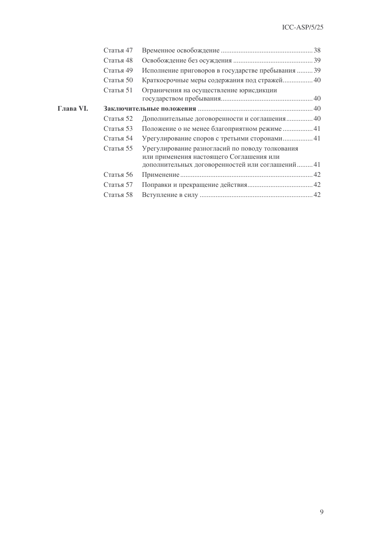|           | Статья 47 |                                                                                                                                                 |  |
|-----------|-----------|-------------------------------------------------------------------------------------------------------------------------------------------------|--|
|           | Статья 48 |                                                                                                                                                 |  |
|           | Статья 49 | Исполнение приговоров в государстве пребывания  39                                                                                              |  |
|           | Статья 50 | Краткосрочные меры содержания под стражей 40                                                                                                    |  |
|           | Статья 51 | Ограничения на осуществление юрисдикции                                                                                                         |  |
|           |           |                                                                                                                                                 |  |
| Глава VI. |           |                                                                                                                                                 |  |
|           | Статья 52 | Дополнительные договоренности и соглашения 40                                                                                                   |  |
|           | Статья 53 | Положение о не менее благоприятном режиме  41                                                                                                   |  |
|           | Статья 54 | Урегулирование споров с третьими сторонами 41                                                                                                   |  |
|           | Статья 55 | Урегулирование разногласий по поводу толкования<br>или применения настоящего Соглашения или<br>дополнительных договоренностей или соглашений 41 |  |
|           |           |                                                                                                                                                 |  |
|           | Статья 56 |                                                                                                                                                 |  |
|           | Статья 57 |                                                                                                                                                 |  |
|           | Статья 58 |                                                                                                                                                 |  |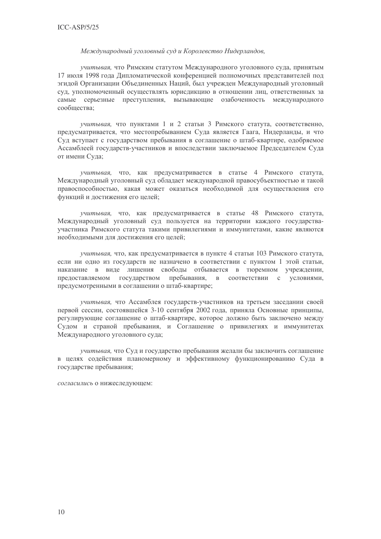#### Международный уголовный суд и Королевство Нидерландов,

учитывая, что Римским статутом Международного уголовного суда, принятым 17 июля 1998 года Липломатической конференцией полномочных представителей под эгидой Организации Объединенных Наций, был учрежден Международный уголовный суд, уполномоченный осуществлять юрисдикцию в отношении лиц, ответственных за самые серьезные преступления, вызывающие озабоченность международного сообщества;

учитывая, что пунктами 1 и 2 статьи 3 Римского статута, соответственно, предусматривается, что местопребыванием Суда является Гаага, Нидерланды, и что Суд вступает с государством пребывания в соглашение о штаб-квартире, одобряемое Ассамблеей государств-участников и впоследствии заключаемое Председателем Суда от имени Суда;

учитывая, что, как предусматривается в статье 4 Римского статута, Международный уголовный суд обладает международной правосубъектностью и такой правоспособностью, какая может оказаться необходимой для осуществления его функций и достижения его целей;

учитывая, что, как предусматривается в статье 48 Римского статута, Международный уголовный суд пользуется на территории каждого государстваучастника Римского статута такими привилегиями и иммунитетами, какие являются необхолимыми лля лостижения его нелей:

учитывая, что, как предусматривается в пункте 4 статьи 103 Римского статута, если ни одно из государств не назначено в соответствии с пунктом 1 этой статьи, наказание в виде лишения свободы отбывается в тюремном учреждении, государством пребывания, в соответствии с условиями, предоставляемом предусмотренными в соглашении о штаб-квартире;

учитывая, что Ассамблея государств-участников на третьем заседании своей первой сессии, состоявшейся 3-10 сентября 2002 года, приняла Основные принципы, регулирующие соглашение о штаб-квартире, которое должно быть заключено между Судом и страной пребывания, и Соглашение о привилегиях и иммунитетах Международного уголовного суда;

учитывая, что Суд и государство пребывания желали бы заключить соглашение в целях содействия планомерному и эффективному функционированию Суда в государстве пребывания;

согласились о нижеследующем: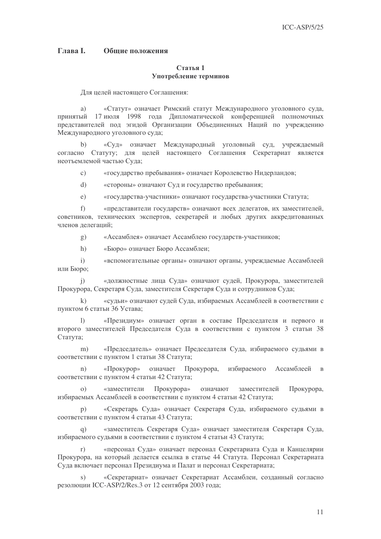#### **Глава I.** Обшие положения

#### Статья 1 Употребление терминов

Для целей настоящего Соглашения:

«Статут» означает Римский статут Международного уголовного суда, a) принятый 17 июля 1998 года Липломатической конференцией полномочных представителей под эгидой Организации Объединенных Наций по учреждению Международного уголовного суда:

«Суд» означает Международный уголовный суд, учреждаемый  $b)$ согласно Статуту; для целей настоящего Соглашения Секретариат является неотъемлемой частью Суда;

«государство пребывания» означает Королевство Нидерландов;  $\mathcal{C}$ )

 $\mathrm{d}$ ) «стороны» означают Суд и государство пребывания;

«государства-участники» означают государства-участники Статута;  $e)$ 

 $f$ «представители государств» означают всех делегатов, их заместителей, советников, технических экспертов, секретарей и любых других аккредитованных членов лелеганий:

«Ассамблея» означает Ассамблею государств-участников;  $\mathbf{g}$ )

«Бюро» означает Бюро Ассамблеи;  $h)$ 

«вспомогательные органы» означают органы, учреждаемые Ассамблеей  $\mathbf{i}$ или Бюро;

«должностные лица Суда» означают судей, Прокурора, заместителей  $\overline{1}$ Прокурора, Секретаря Суда, заместителя Секретаря Суда и сотрудников Суда;

«судьи» означают судей Суда, избираемых Ассамблеей в соответствии с  $\mathbf{k}$ пунктом 6 статьи 36 Устава;

«Президиум» означает орган в составе Председателя и первого и  $\mathbf{1}$ второго заместителей Председателя Суда в соответствии с пунктом 3 статьи 38 Статута:

«Председатель» означает Председателя Суда, избираемого судьями в  $m)$ соответствии с пунктом 1 статьи 38 Статута;

означает Прокурора, избираемого «Прокурор» Ассамблеей в  $n)$ соответствии с пунктом 4 статьи 42 Статута;

«заместители Прокурора» означают заместителей Прокурора,  $\Omega$ избираемых Ассамблеей в соответствии с пунктом 4 статьи 42 Статута;

«Секретарь Суда» означает Секретаря Суда, избираемого судьями в  $p)$ соответствии с пунктом 4 статьи 43 Статута;

«заместитель Секретаря Суда» означает заместителя Секретаря Суда, избираемого судьями в соответствии с пунктом 4 статьи 43 Статута;

«персонал Суда» означает персонал Секретариата Суда и Канцелярии  $r)$ Прокурора, на который делается ссылка в статье 44 Статута. Персонал Секретариата Суда включает персонал Президиума и Палат и персонал Секретариата;

«Секретариат» означает Секретариат Ассамблеи, созданный согласно  $\mathbf{s}$ ) резолюции ICC-ASP/2/Res.3 от 12 сентября 2003 года;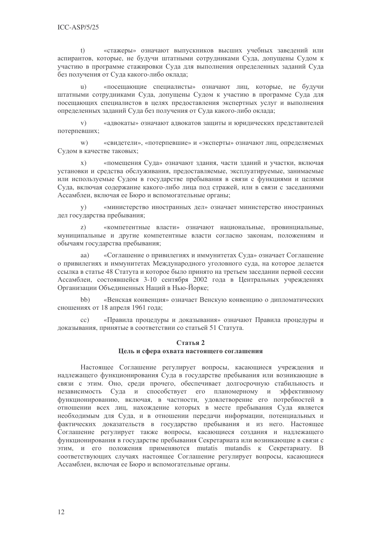«стажеры» означают выпускников высших учебных заведений или  $(t)$ аспирантов, которые, не будучи штатными сотрудниками Суда, допущены Судом к участию в программе стажировки Суда для выполнения определенных заданий Суда без получения от Суда какого-либо оклада;

«посещающие специалисты» означают лиц, которые, не будучи  $\mathbf{u}$ ) штатными сотрудниками Суда, допущены Судом к участию в программе Суда для посещающих специалистов в целях предоставления экспертных услуг и выполнения определенных заданий Суда без получения от Суда какого-либо оклада;

«адвокаты» означают адвокатов защиты и юридических представителей  $V)$ потерпевших:

 $W)$ «свидетели», «потерпевшие» и «эксперты» означают лиц, определяемых Судом в качестве таковых;

«помещения Суда» означают здания, части зданий и участки, включая  $\mathbf{x}$ ) установки и средства обслуживания, предоставляемые, эксплуатируемые, занимаемые или используемые Судом в государстве пребывания в связи с функциями и целями Сула, включая содержание какого-либо лица под стражей, или в связи с заселаниями Ассамблеи, включая ее Бюро и вспомогательные органы:

«министерство иностранных дел» означает министерство иностранных  $V)$ лел государства пребывания:

«компетентные власти» означают национальные, провинциальные,  $\mathbf{z}$ муниципальные и другие компетентные власти согласно законам, положениям и обычаям государства пребывания;

«Соглашение о привилегиях и иммунитетах Суда» означает Соглашение aa) о привилегиях и иммунитетах Международного уголовного суда, на которое делается ссылка в статье 48 Статута и которое было принято на третьем заселании первой сессии Ассамблеи, состоявшейся 3-10 сентября 2002 года в Центральных учреждениях Организации Объединенных Наций в Нью-Йорке;

 $bb)$ «Венская конвенция» означает Венскую конвенцию о дипломатических сношениях от 18 апреля 1961 года;

«Правила процедуры и доказывания» означают Правила процедуры и  $cc)$ доказывания, принятые в соответствии со статьей 51 Статута.

#### Статья 2 Цель и сфера охвата настоящего соглашения

Настоящее Соглашение регулирует вопросы, касающиеся учреждения и надлежащего функционирования Суда в государстве пребывания или возникающие в связи с этим. Оно, среди прочего, обеспечивает долгосрочную стабильность и независимость Суда и способствует его планомерному и эффективному функционированию, включая, в частности, удовлетворение его потребностей в отношении всех лиц, нахождение которых в месте пребывания Суда является необходимым для Суда, и в отношении передачи информации, потенциальных и фактических доказательств в государство пребывания и из него. Настоящее Соглашение регулирует также вопросы, касающиеся создания и надлежащего функционирования в государстве пребывания Секретариата или возникающие в связи с этим, и его положения применяются mutatis mutandis к Секретариату. В соответствующих случаях настоящее Соглашение регулирует вопросы, касающиеся Ассамблеи, включая ее Бюро и вспомогательные органы.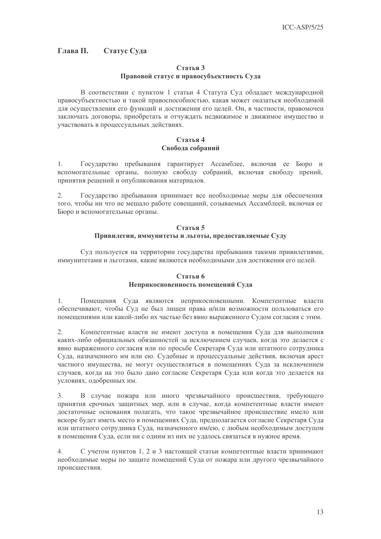#### **Глава** II. Статус Суда

# Статья 3 Правовой статус и правосубъектность Суда

В соответствии с пунктом 1 статьи 4 Статута Суд обладает международной правосубъектностью и такой правоспособностью, какая может оказаться необходимой для осуществления его функций и достижения его целей. Он, в частности, правомочен заключать договоры, приобретать и отчуждать недвижимое и движимое имущество и участвовать в процессуальных действиях.

#### Статья 4 Свобода собраний

 $1.$ Государство пребывания гарантирует Ассамблее, включая ее Бюро и вспомогательные органы, полную свободу собраний, включая свободу прений, принятия решений и опубликования материалов.

 $2.$ Государство пребывания принимает все необходимые меры для обеспечения того, чтобы ни что не мешало работе совещаний, созываемых Ассамблеей, включая ее Бюро и вспомогательные органы.

#### Статья 5 Привилегии, иммунитеты и льготы, предоставляемые Суду

Суд пользуется на территории государства пребывания такими привилегиями, иммунитетами и льготами, какие являются необходимыми для достижения его целей.

# Статья 6

# Неприкосновенность помещений Суда

Помещения Суда являются неприкосновенными. Компетентные власти  $\mathbf{1}$ обеспечивают, чтобы Суд не был лишен права и/или возможности пользоваться его помещениями или какой-либо их частью без явно выраженного Судом согласия с этим.

 $2.$ Компетентные власти не имеют доступа в помещения Суда для выполнения каких-либо официальных обязанностей за исключением случаев, когда это делается с явно выраженного согласия или по просьбе Секретаря Суда или штатного сотрудника Суда, назначенного им или ею. Судебные и процессуальные действия, включая арест частного имущества, не могут осуществляться в помещениях Суда за исключением случаев, когда на это было дано согласие Секретаря Суда или когда это делается на условиях, одобренных им.

В случае пожара или иного чрезвычайного происшествия, требующего  $\overline{3}$ . принятия срочных защитных мер, или в случае, когда компетентные власти имеют достаточные основания полагать, что такое чрезвычайное происшествие имело или вскоре будет иметь место в помещениях Суда, предполагается согласие Секретаря Суда или штатного сотрудника Суда, назначенного им/ею, с любым необходимым доступом в помещения Суда, если ни с одним из них не удалось связаться в нужное время.

 $\overline{4}$ . С учетом пунктов 1, 2 и 3 настоящей статьи компетентные власти принимают необходимые меры по защите помещений Суда от пожара или другого чрезвычайного происшествия.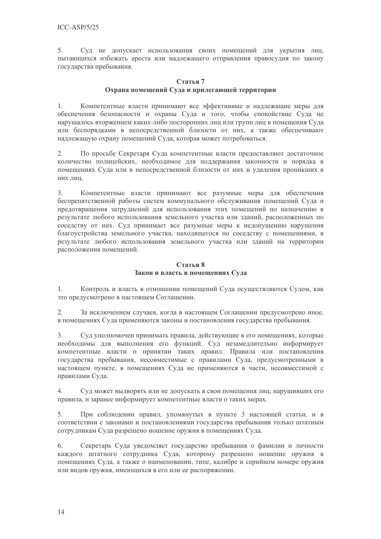5. Суд не допускает использования своих помещений для укрытия лиц, пытающихся избежать ареста или надлежащего отправления правосудия по закону государства пребывания.

# Статья 7 Охрана помещений Суда и прилегающей территории

 $1<sub>1</sub>$ Компетентные власти принимают все эффективные и наллежащие меры для обеспечения безопасности и охраны Суда и того, чтобы спокойствие Суда не нарушалось вторжением каких-либо посторонних лиц или групп лиц в помещения Суда или беспорядками в непосредственной близости от них, а также обеспечивают надлежащую охрану помещений Суда, которая может потребоваться.

По просьбе Секретаря Суда компетентные власти прелоставляют лостаточное  $2.$ количество полицейских, необходимое для поддержания законности и порядка в помещениях Суда или в непосредственной близости от них и удаления проникших в них лиц.

Компетентные власти принимают все разумные меры для обеспечения  $\mathcal{E}$ беспрепятственной работы систем коммунального обслуживания помешений Сула и предотвращения затруднений для использования этих помещений по назначению в результате любого использования земельного участка или зланий, расположенных по соседству от них. Суд принимает все разумные меры к недопущению нарушения благоустройства земельного участка, находящегося по соседству с помещениями, в результате любого использования земельного участка или зданий на территории расположения помещений.

# Статья 8 Закон и власть в помещениях Суда

Контроль и власть в отношении помещений Суда осуществляются Судом, как 1. это предусмотрено в настоящем Соглашении.

 $2.$ За исключением случаев, когда в настоящем Соглашении предусмотрено иное, в помещениях Суда применяются законы и постановления государства пребывания.

3. Суд уполномочен принимать правила, действующие в его помещениях, которые необходимы для выполнения его функций. Суд незамедлительно информирует компетентные власти о принятии таких правил. Правила или постановления государства пребывания, несовместимые с правилами Суда, предусмотренными в настоящем пункте, в помещениях Суда не применяются в части, несовместимой с правилами Суда.

 $4.$ Суд может выдворять или не допускать в свои помещения лиц, нарушивших его правила, и заранее информирует компетентные власти о таких мерах.

При соблюдении правил, упомянутых в пункте 3 настоящей статьи, и в 5. соответствии с законами и постановлениями государства пребывания только штатным сотрудникам Суда разрешено ношение оружия в помещениях Суда.

6. Секретарь Суда уведомляет государство пребывания о фамилии и личности каждого штатного сотрудника Суда, которому разрешено ношение оружия в помещениях Суда, а также о наименовании, типе, калибре и серийном номере оружия или видов оружия, имеющихся в его или ее распоряжении.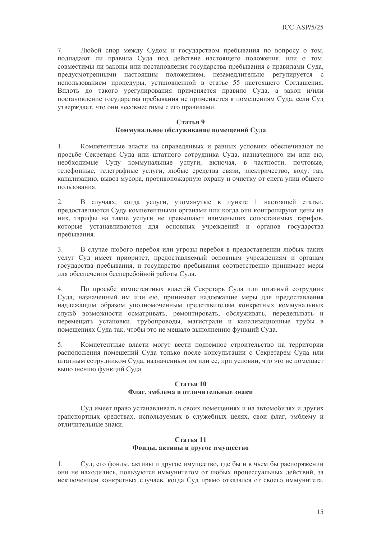7. Любой спор между Судом и государством пребывания по вопросу о том, подпадают ли правила Суда под действие настоящего положения, или о том, совместимы ли законы или постановления государства пребывания с правилами Суда, предусмотренными настоящим положением, незамедлительно регулируется с использованием процедуры, установленной в статье 55 настоящего Соглашения. Вплоть до такого урегулирования применяется правило Суда, а закон и/или постановление государства пребывания не применяется к помещениям Суда, если Суд утверждает, что они несовместимы с его правилами.

#### Статья 9

# Коммунальное обслуживание помещений Суда

 $1.$ Компетентные власти на справедливых и равных условиях обеспечивают по просьбе Секретаря Суда или штатного сотрудника Суда, назначенного им или ею, необходимые Суду коммунальные услуги, включая, в частности, почтовые, телефонные, телеграфные услуги, любые средства связи, электричество, воду, газ, канализацию, вывоз мусора, противопожарную охрану и очистку от снега улиц общего ПОЛЬЗОВАНИЯ

В случаях, когда услуги, упомянутые в пункте 1 настоящей статьи,  $2.$ предоставляются Суду компетентными органами или когда они контролируют цены на них, тарифы на такие услуги не превышают наименьших сопоставимых тарифов, которые устанавливаются лля основных учреждений и органов государства пребывания.

 $3.$ В случае любого перебоя или угрозы перебоя в предоставлении любых таких услуг Суд имеет приоритет, предоставляемый основным учреждениям и органам государства пребывания, и государство пребывания соответственно принимает меры для обеспечения бесперебойной работы Суда.

По просьбе компетентных властей Секретарь Суда или штатный сотрудник  $4.$ Суда, назначенный им или ею, принимает надлежащие меры для предоставления наллежащим образом уполномоченным прелставителям конкретных коммунальных служб возможности осматривать, ремонтировать, обслуживать, переделывать и перемешать установки, трубопроводы, магистрали и канализационные трубы в помещениях Суда так, чтобы это не мешало выполнению функций Суда.

 $5<sub>1</sub>$ Компетентные власти могут вести подземное строительство на территории расположения помещений Суда только после консультации с Секретарем Суда или штатным сотрудником Суда, назначенным им или ее, при условии, что это не помешает выполнению функций Суда.

#### Статья 10 Флаг, эмблема и отличительные знаки

Суд имеет право устанавливать в своих помещениях и на автомобилях и других транспортных средствах, используемых в служебных целях, свои флаг, эмблему и отличительные знаки.

# Статья 11 Фонды, активы и другое имущество

Суд, его фонды, активы и другое имущество, где бы и в чьем бы распоряжении  $1<sup>1</sup>$ они не находились, пользуются иммунитетом от любых процессуальных действий, за исключением конкретных случаев, когда Суд прямо отказался от своего иммунитета.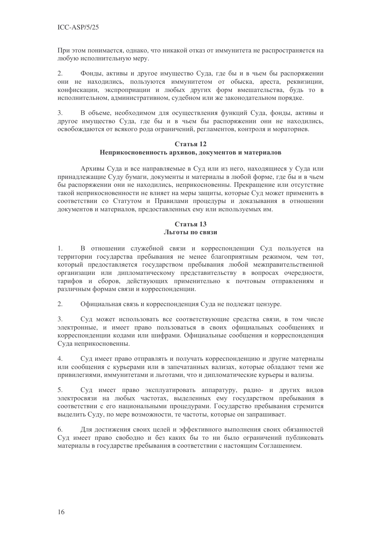При этом понимается, однако, что никакой отказ от иммунитета не распространяется на любую исполнительную меру.

Фонды, активы и другое имущество Суда, где бы и в чьем бы распоряжении  $2.$ они не находились, пользуются иммунитетом от обыска, ареста, реквизиции, конфискации, экспроприации и любых других форм вмешательства, будь то в исполнительном, административном, судебном или же законодательном порядке.

 $\overline{3}$ . В объеме, необходимом для осуществления функций Суда, фонды, активы и другое имущество Суда, где бы и в чьем бы распоряжении они не находились, освобождаются от всякого рода ограничений, регламентов, контроля и мораториев.

# Статья 12 Неприкосновенность архивов, документов и материалов

Архивы Суда и все направляемые в Суд или из него, находящиеся у Суда или принадлежащие Суду бумаги, документы и материалы в любой форме, где бы и в чьем бы распоряжении они не находились, неприкосновенны. Прекращение или отсутствие такой неприкосновенности не влияет на меры защиты, которые Суд может применить в соответствии со Статутом и Правилами процедуры и доказывания в отношении документов и материалов, предоставленных ему или используемых им.

# Статья 13 Льготы по связи

В отношении служебной связи и корреспонденции Суд пользуется на  $1.$ территории государства пребывания не менее благоприятным режимом, чем тот, который предоставляется государством пребывания любой межправительственной организации или дипломатическому представительству в вопросах очередности, тарифов и сборов, действующих применительно к почтовым отправлениям и различным формам связи и корреспонденции.

 $2.$ Официальная связь и корреспонденция Суда не подлежат цензуре.

 $3.$ Суд может использовать все соответствующие средства связи, в том числе электронные, и имеет право пользоваться в своих официальных сообщениях и корреспонденции кодами или шифрами. Официальные сообщения и корреспонденция Суда неприкосновенны.

 $\overline{4}$ . Суд имеет право отправлять и получать корреспонденцию и другие материалы или сообщения с курьерами или в запечатанных вализах, которые обладают теми же привилегиями, иммунитетами и льготами, что и дипломатические курьеры и вализы.

 $5<sub>1</sub>$ Сул имеет право эксплуатировать аппаратуру, радио- и других видов электросвязи на любых частотах, выделенных ему государством пребывания в соответствии с его национальными процедурами. Государство пребывания стремится выделить Суду, по мере возможности, те частоты, которые он запрашивает.

6. Для достижения своих целей и эффективного выполнения своих обязанностей Суд имеет право свободно и без каких бы то ни было ограничений публиковать материалы в государстве пребывания в соответствии с настоящим Соглашением.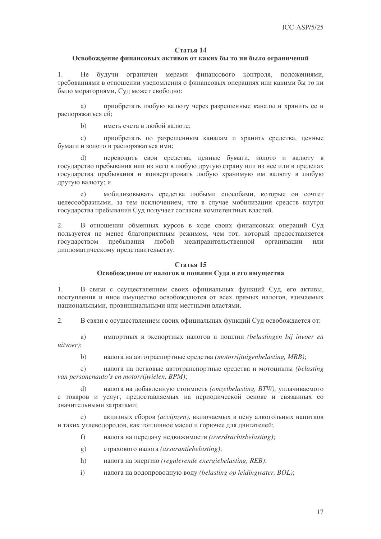#### Освобождение финансовых активов от каких бы то ни было ограничений

1. Не будучи ограничен мерами финансового контроля, положениями, требованиями в отношении уведомления о финансовых операциях или какими бы то ни было мораториями, Суд может свободно:

а) приобретать любую валюту через разрешенные каналы и хранить ее и распоряжаться ей;

b) иметь счета в любой валюте;

с) приобретать по разрешенным каналам и хранить средства, ценные бумаги и золото и распоряжаться ими;

d) переводить свои средства, ценные бумаги, золото и валюту в государство пребывания или из него в любую другую страну или из нее или в пределах государства пребывания и конвертировать любую хранимую им валюту в любую другую валюту; и

е) мобилизовывать средства любыми способами, которые он сочтет целесообразными, за тем исключением, что в случае мобилизации средств внутри государства пребывания Суд получает согласие компетентных властей.

2. В отношении обменных курсов в ходе своих финансовых операций Суд пользуется не менее благоприятным режимом, чем тот, который предоставляется государством пре пребывания любой жправительственной орга низации или дипломатическому представительству.

# $C$ **тятья** 15 Освобождение от налогов и пошлин Суда и его имущества

1. В связи с осуществлением своих официальных функций Суд, его активы, поступления и иное имущество освобождаются от всех прямых налогов, взимаемых национальными, провинциальными или местными властями.

2. В связи с осуществлением своих официальных функций Суд освобождается от:

a) импортных и экспортных налогов и пошлин (belastingen bij invoer en *uitvoer)*;

b) налога на автотраспортные средства (motorrijtuigenbelasting, MRB);

c) налога на легковые автотранспортные средства и мотоциклы (belasting *van personenauto's en motorrijwielen, BPM)*;

d) налога на добавленную стоимость (omzetbelasting, BTW), уплачиваемого с товаров и услуг, предоставляемых на периодической основе и связанных со значительными затратами;

 $e)$ кцизных сборов (accijnzen), включаемых в цену алкогольных напитков и таких углеводородов, как топливное масло и горючее для двигателей;

- f) налога на передачу недвижимости (overdrachtsbelasting);
- g) страхового налога (assurantiebelasting);
- h) налога на энергию (regulerende energiebelasting, REB);
- i) налога на водопроводную воду (belasting op leidingwater, BOL);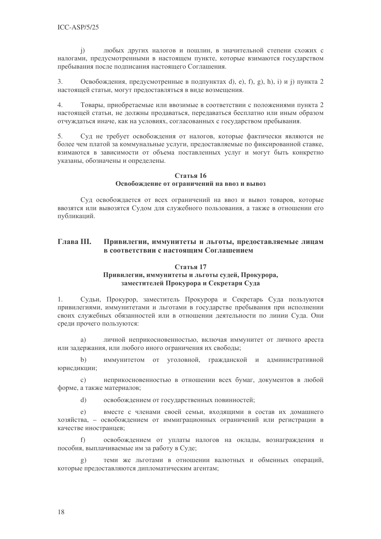любых других налогов и пошлин, в значительной степени схожих с  $\mathbf{i}$ налогами, предусмотренными в настоящем пункте, которые взимаются государством пребывания после подписания настоящего Соглашения.

 $\overline{3}$ . Освобождения, предусмотренные в подпунктах d), e), f), g), h), i) и j) пункта 2 настоящей статьи, могут предоставляться в виде возмещения.

 $\overline{4}$ Товары, приобретаемые или ввозимые в соответствии с положениями пункта 2 настоящей статьи, не должны продаваться, передаваться бесплатно или иным образом отчуждаться иначе, как на условиях, согласованных с государством пребывания.

5. Суд не требует освобождения от налогов, которые фактически являются не более чем платой за коммунальные услуги, прелоставляемые по фиксированной ставке, взимаются в зависимости от объема поставленных услуг и могут быть конкретно указаны, обозначены и определены.

#### Статья 16 Освобождение от ограничений на ввоз и вывоз

Сул освобожлается от всех ограничений на ввоз и вывоз товаров, которые ввозятся или вывозятся Судом для служебного пользования, а также в отношении его публикаций.

#### **Глава** III. Привилегии, иммунитеты и льготы, предоставляемые лицам в соответствии с настоящим Соглашением

# Статья 17

# Привилегии, иммунитеты и льготы судей, Прокурора, заместителей Прокурора и Секретаря Суда

Сульи, Прокурор, заместитель Прокурора и Секретарь Сула пользуются  $1.$ привилегиями, иммунитетами и льготами в государстве пребывания при исполнении своих служебных обязанностей или в отношении деятельности по линии Суда. Они среди прочего пользуются:

личной неприкосновенностью, включая иммунитет от личного ареста a) или задержания, или любого иного ограничения их свободы;

 $h)$ иммунитетом от уголовной, гражданской и административной юрисдикции;

неприкосновенностью в отношении всех бумаг, документов в любой  $\mathcal{C}$ ) форме, а также материалов;

 $\mathrm{d}$ освобождением от государственных повинностей;

 $e)$ вместе с членами своей семьи, входящими в состав их домашнего хозяйства, - освобождением от иммиграционных ограничений или регистрации в качестве иностранцев;

освобождением от уплаты налогов на оклады, вознаграждения и  $f$ пособия, выплачиваемые им за работу в Суде;

теми же льготами в отношении валютных и обменных операций,  $\sigma$ ) которые предоставляются дипломатическим агентам;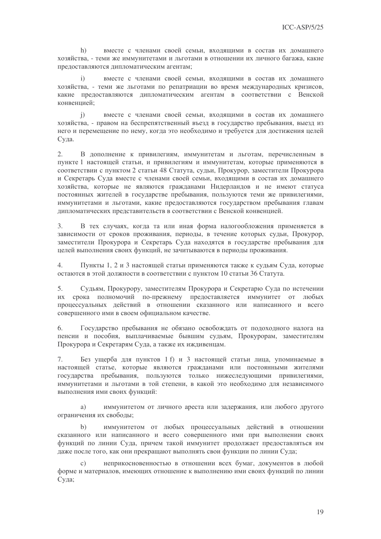$h)$ вместе с членами своей семьи, входящими в состав их домашнего хозяйства, - теми же иммунитетами и льготами в отношении их личного багажа, какие предоставляются дипломатическим агентам;

вместе с членами своей семьи, входящими в состав их домашнего  $\ddot{1}$ хозяйства, - теми же льготами по репатриации во время международных кризисов, какие предоставляются дипломатическим агентам в соответствии с Венской конвенцией:

вместе с членами своей семьи, входящими в состав их домашнего  $\mathbf{i}$ хозяйства, - правом на беспрепятственный въезд в государство пребывания, выезд из него и перемещение по нему, когда это необходимо и требуется для достижения целей Суда.

 $2.$ В дополнение к привилегиям, иммунитетам и льготам, перечисленным в пункте 1 настоящей статьи, и привилегиям и иммунитетам, которые применяются в соответствии с пунктом 2 статьи 48 Статута, судьи, Прокурор, заместители Прокурора и Секретарь Суда вместе с членами своей семьи, входящими в состав их домашнего хозяйства, которые не являются гражданами Нидерландов и не имеют статуса постоянных жителей в государстве пребывания, пользуются теми же привилегиями, иммунитетами и льготами, какие предоставляются государством пребывания главам дипломатических представительств в соответствии с Венской конвенцией.

 $3.$ В тех случаях, когда та или иная форма налогообложения применяется в зависимости от сроков проживания, периоды, в течение которых судьи, Прокурор, заместители Прокурора и Секретарь Суда находятся в государстве пребывания для целей выполнения своих функций, не зачитываются в периоды проживания.

 $4.$ Пункты 1, 2 и 3 настоящей статьи применяются также к судьям Суда, которые остаются в этой должности в соответствии с пунктом 10 статьи 36 Статута.

5. Судьям, Прокурору, заместителям Прокурора и Секретарю Суда по истечении их срока полномочий по-прежнему предоставляется иммунитет от любых процессуальных действий в отношении сказанного или написанного и всего совершенного ими в своем официальном качестве.

Государство пребывания не обязано освобождать от подоходного налога на 6. пенсии и пособия, выплачиваемые бывшим судьям, Прокурорам, заместителям Прокурора и Секретарям Суда, а также их иждивенцам.

 $7<sub>1</sub>$ Без ущерба для пунктов 1 f) и 3 настоящей статьи лица, упоминаемые в настоящей статье, которые являются гражданами или постоянными жителями государства пребывания, пользуются только нижеследующими привилегиями, иммунитетами и льготами в той степени, в какой это необходимо для независимого выполнения ими своих функций:

иммунитетом от личного ареста или задержания, или любого другого a) ограничения их свободы;

иммунитетом от любых процессуальных действий в отношении  $b)$ сказанного или написанного и всего совершенного ими при выполнении своих функций по линии Суда, причем такой иммунитет продолжает предоставляться им даже после того, как они прекращают выполнять свои функции по линии Суда;

неприкосновенностью в отношении всех бумаг, документов в любой  $\mathcal{C}$ ) форме и материалов, имеющих отношение к выполнению ими своих функций по линии Суда;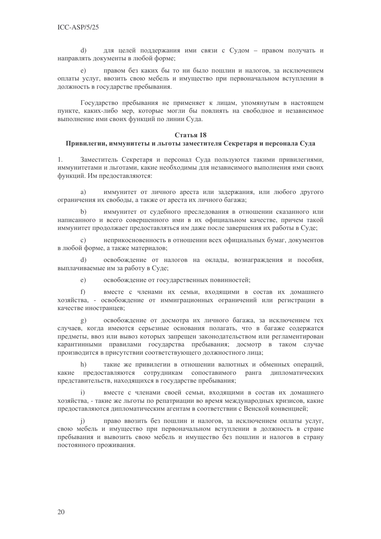для целей поддержания ими связи с Судом - правом получать и  $\rm d$ направлять документы в любой форме;

правом без каких бы то ни было пошлин и налогов, за исключением оплаты услуг, ввозить свою мебель и имущество при первоначальном вступлении в должность в государстве пребывания.

Государство пребывания не применяет к лицам, упомянутым в настоящем пункте, каких-либо мер, которые могли бы повлиять на свободное и независимое выполнение ими своих функций по линии Суда.

#### Статья 18

#### Привилегии, иммунитеты и льготы заместителя Секретаря и персонала Суда

Заместитель Секретаря и персонал Суда пользуются такими привилегиями, 1. иммунитетами и льготами, какие необходимы для независимого выполнения ими своих функций. Им предоставляются:

a) иммунитет от личного ареста или задержания, или любого другого ограничения их свободы, а также от ареста их личного багажа;

иммунитет от судебного преследования в отношении сказанного или написанного и всего совершенного ими в их официальном качестве, причем такой иммунитет продолжает предоставляться им даже после завершения их работы в Суде;

неприкосновенность в отношении всех официальных бумаг, документов в любой форме, а также материалов;

освобождение от налогов на оклады, вознаграждения и пособия,  $(b)$ выплачиваемые им за работу в Суде;

освобождение от государственных повинностей;  $e)$ 

 $f$ вместе с членами их семьи, входящими в состав их домашнего хозяйства, - освобождение от иммиграционных ограничений или регистрации в качестве иностранцев;

освобождение от досмотра их личного багажа, за исключением тех  $\mathbf{g}$ ) случаев, когда имеются серьезные основания полагать, что в багаже содержатся предметы, ввоз или вывоз которых запрешен законодательством или регламентирован карантинными правилами государства пребывания; досмотр в таком случае производится в присутствии соответствующего должностного лица;

 $h)$ такие же привилегии в отношении валютных и обменных операций, предоставляются сотрудникам сопоставимого ранга дипломатических какие представительств, находящихся в государстве пребывания;

вместе с членами своей семьи, входящими в состав их домашнего  $\mathbf{i}$ хозяйства, - такие же льготы по репатриации во время международных кризисов, какие предоставляются дипломатическим агентам в соответствии с Венской конвенцией;

право ввозить без пошлин и налогов, за исключением оплаты услуг,  $\ddot{1}$ свою мебель и имущество при первоначальном вступлении в должность в стране пребывания и вывозить свою мебель и имущество без пошлин и налогов в страну постоянного проживания.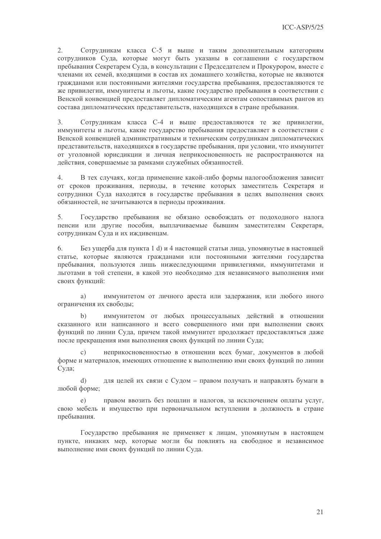$2.$ Сотрудникам класса С-5 и выше и таким дополнительным категориям сотрудников Суда, которые могут быть указаны в соглашении с государством пребывания Секретарем Суда, в консультации с Председателем и Прокурором, вместе с членами их семей, входящими в состав их домашнего хозяйства, которые не являются гражданами или постоянными жителями государства пребывания, предоставляются те же привилегии, иммунитеты и льготы, какие государство пребывания в соответствии с Венской конвенцией предоставляет дипломатическим агентам сопоставимых рангов из состава дипломатических представительств, находящихся в стране пребывания.

Сотрудникам класса С-4 и выше предоставляются те же привилегии,  $3.$ иммунитеты и льготы, какие государство пребывания предоставляет в соответствии с Венской конвенцией административным и техническим сотрудникам дипломатических представительств, находящихся в государстве пребывания, при условии, что иммунитет от уголовной юрисдикции и личная неприкосновенность не распространяются на действия, совершаемые за рамками служебных обязанностей.

 $\overline{4}$ . В тех случаях, когда применение какой-либо формы налогообложения зависит от сроков проживания, периоды, в течение которых заместитель Секретаря и сотрудники Суда находятся в государстве пребывания в целях выполнения своих обязанностей, не зачитываются в периоды проживания.

 $5<sub>1</sub>$ Государство пребывания не обязано освобождать от подоходного налога пенсии или другие пособия, выплачиваемые бывшим заместителям Секретаря, сотрудникам Суда и их иждивенцам.

6. Без ущерба для пункта 1 d) и 4 настоящей статьи лица, упомянутые в настоящей статье, которые являются гражданами или постоянными жителями государства пребывания, пользуются лишь нижеследующими привилегиями, иммунитетами и льготами в той степени, в какой это необходимо для независимого выполнения ими своих функций:

иммунитетом от личного ареста или задержания, или любого иного a) ограничения их свободы;

иммунитетом от любых процессуальных действий в отношении  $b)$ сказанного или написанного и всего совершенного ими при выполнении своих функций по линии Суда, причем такой иммунитет продолжает предоставляться даже после прекращения ими выполнения своих функций по линии Суда;

 $\mathcal{C}$ ) неприкосновенностью в отношении всех бумаг, документов в любой форме и материалов, имеющих отношение к выполнению ими своих функций по линии Суда:

для целей их связи с Судом - правом получать и направлять бумаги в  $\mathbf{d}$ любой форме;

 $\epsilon$ ) правом ввозить без пошлин и налогов, за исключением оплаты услуг, свою мебель и имущество при первоначальном вступлении в должность в стране пребывания.

Государство пребывания не применяет к лицам, упомянутым в настоящем пункте, никаких мер, которые могли бы повлиять на свободное и независимое выполнение ими своих функций по линии Суда.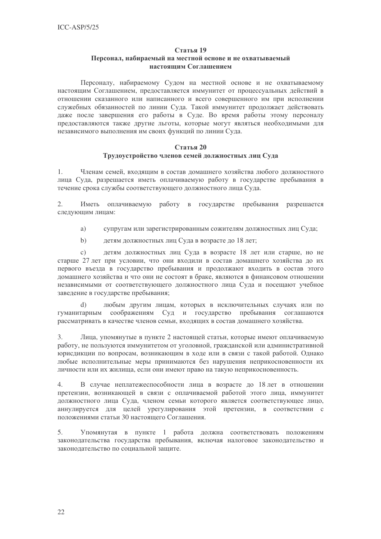#### Персонал, набираемый на местной основе и не охватываемый настоящим Соглашением

Персоналу, набираемому Судом на местной основе и не охватываемому настоящим Соглашением, предоставляется иммунитет от процессуальных действий в отношении сказанного или написанного и всего совершенного им при исполнении служебных обязанностей по линии Суда. Такой иммунитет продолжает действовать даже после завершения его работы в Суде. Во время работы этому персоналу предоставляются также другие льготы, которые могут являться необходимыми для независимого выполнения им своих функций по линии Суда.

# Статья 20

# Трудоустройство членов семей должностных лиц Суда

1. Членам семей, входящим в состав домашнего хозяйства любого должностного лица Суда, разрешается иметь оплачиваемую работу в государстве пребывания в течение срока службы соответствующего должностного лица Суда.

 $2.$ Иметь оплачиваемую работу в государстве пребывания разрешается следующим лицам:

- супругам или зарегистрированным сожителям должностных лиц Суда; a)
- $b)$ детям должностных лиц Суда в возрасте до 18 лет;

детям должностных лиц Суда в возрасте 18 лет или старше, но не  $c)$ старше 27 лет при условии, что они входили в состав домашнего хозяйства до их первого въезда в государство пребывания и продолжают входить в состав этого домашнего хозяйства и что они не состоят в браке, являются в финансовом отношении независимыми от соответствующего должностного лица Суда и посещают учебное заведение в государстве пребывания;

 $\mathrm{d}$ любым другим лицам, которых в исключительных случаях или по соображениям Суд и государство пребывания соглашаются гуманитарным рассматривать в качестве членов семьи, входящих в состав домашнего хозяйства.

 $\overline{3}$ . Лица, упомянутые в пункте 2 настоящей статьи, которые имеют оплачиваемую работу, не пользуются иммунитетом от уголовной, гражданской или административной юрисдикции по вопросам, возникающим в ходе или в связи с такой работой. Однако любые исполнительные меры принимаются без нарушения неприкосновенности их личности или их жилища, если они имеют право на такую неприкосновенность.

 $\overline{4}$ . В случае неплатежеспособности лица в возрасте до 18 лет в отношении претензии, возникающей в связи с оплачиваемой работой этого лица, иммунитет должностного лица Суда, членом семьи которого является соответствующее лицо, аннулируется для целей урегулирования этой претензии, в соответствии с положениями статьи 30 настоящего Соглашения.

5. Упомянутая в пункте 1 работа должна соответствовать положениям законодательства государства пребывания, включая налоговое законодательство и законодательство по социальной защите.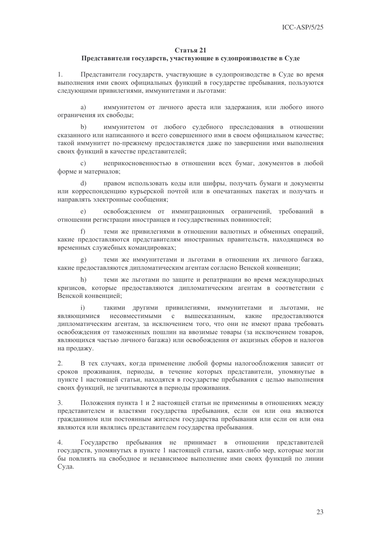#### Представители государств, участвующие в судопроизводстве в Суде

 $1.$ Представители государств, участвующие в судопроизводстве в Суде во время выполнения ими своих официальных функций в государстве пребывания, пользуются следующими привилегиями, иммунитетами и льготами:

иммунитетом от личного ареста или задержания, или любого иного a) ограничения их свободы;

 $h)$ иммунитетом от любого судебного преследования в отношении сказанного или написанного и всего совершенного ими в своем официальном качестве; такой иммунитет по-прежнему предоставляется даже по завершении ими выполнения своих функций в качестве представителей;

 $\mathcal{C}$ ) неприкосновенностью в отношении всех бумаг, документов в любой форме и материалов;

правом использовать коды или шифры, получать бумаги и документы  $\mathbf{d}$ или корреспонденцию курьерской почтой или в опечатанных пакетах и получать и направлять электронные сообщения;

освобождением от иммиграционных ограничений, требований в  $\Theta$ ) отношении регистрации иностранцев и государственных повинностей;

 $f$ теми же привилегиями в отношении валютных и обменных операций, какие предоставляются представителям иностранных правительств, находящимся во временных служебных командировках;

теми же иммунитетами и льготами в отношении их личного багажа,  $g)$ какие предоставляются дипломатическим агентам согласно Венской конвенции:

теми же льготами по защите и репатриации во время международных  $h)$ кризисов, которые предоставляются дипломатическим агентам в соответствии с Венской конвенцией;

 $\mathbf{i}$ такими другими привилегиями, иммунитетами и льготами, не несовместимыми вышесказанным, являющимися  $\mathbf{c}$ какие предоставляются дипломатическим агентам, за исключением того, что они не имеют права требовать освобождения от таможенных пошлин на ввозимые товары (за исключением товаров, являющихся частью личного багажа) или освобождения от акцизных сборов и налогов на продажу.

В тех случаях, когда применение любой формы налогообложения зависит от  $2.$ сроков проживания, периоды, в течение которых представители, упомянутые в пункте 1 настоящей статьи, находятся в государстве пребывания с целью выполнения своих функций, не зачитываются в периоды проживания.

Положения пункта 1 и 2 настоящей статьи не применимы в отношениях между  $\overline{3}$ . представителем и властями государства пребывания, если он или она являются гражданином или постоянным жителем государства пребывания или если он или она являются или являлись представителем государства пребывания.

Государство пребывания не принимает в отношении представителей  $4.$ государств, упомянутых в пункте 1 настоящей статьи, каких-либо мер, которые могли бы повлиять на свободное и независимое выполнение ими своих функций по линии Суда.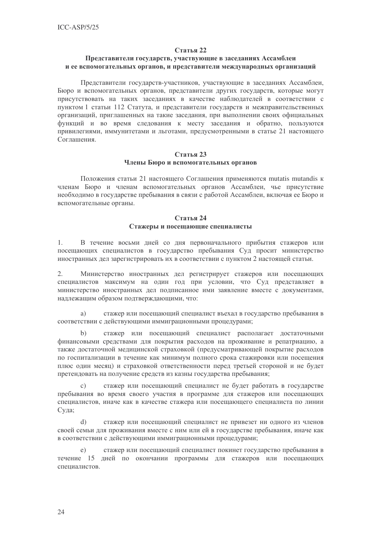# Представители государств, участвующие в заседаниях Ассамблеи и ее вспомогательных органов, и представители международных организаций

Представители государств-участников, участвующие в заседаниях Ассамблеи, Бюро и вспомогательных органов, представители других государств, которые могут присутствовать на таких заседаниях в качестве наблюдателей в соответствии с пунктом 1 статьи 112 Статута, и представители государств и межправительственных организаций, приглашенных на такие заседания, при выполнении своих официальных функций и во время следования к месту заседания и обратно, пользуются привилегиями, иммунитетами и льготами, предусмотренными в статье 21 настоящего Соглашения.

# Статья 23 Члены Бюро и вспомогательных органов

Положения статьи 21 настоящего Соглашения применяются mutatis mutandis к членам Бюро и членам вспомогательных органов Ассамблеи, чье присутствие необходимо в государстве пребывания в связи с работой Ассамблеи, включая ее Бюро и вспомогательные органы.

# $C$ тятья 24 Стажеры и посешающие специалисты

 $1.$ В течение восьми дней со дня первоначального прибытия стажеров или посещающих специалистов в государство пребывания Суд просит министерство иностранных дел зарегистрировать их в соответствии с пунктом 2 настоящей статьи.

 $2.$ Министерство иностранных дел регистрирует стажеров или посещающих специалистов максимум на один год при условии, что Суд представляет в министерство иностранных дел подписанное ими заявление вместе с документами, надлежащим образом подтверждающими, что:

стажер или посешающий специалист въехал в государство пребывания в a) соответствии с действующими иммиграционными процедурами:

 $b)$ стажер или посещающий специалист располагает достаточными финансовыми средствами для покрытия расходов на проживание и репатриацию, а также достаточной медицинской страховкой (предусматривающей покрытие расходов по госпитализации в течение как минимум полного срока стажировки или посещения плюс один месяц) и страховкой ответственности перед третьей стороной и не будет претендовать на получение средств из казны государства пребывания;

стажер или посещающий специалист не будет работать в государстве  $\overline{c}$ ) пребывания во время своего участия в программе для стажеров или посещающих специалистов, иначе как в качестве стажера или посещающего специалиста по линии Суда;

 $\mathbf{d}$ стажер или посещающий специалист не привезет ни одного из членов своей семьи для проживания вместе с ним или ей в государстве пребывания, иначе как в соответствии с действующими иммиграционными процедурами;

стажер или посещающий специалист покинет государство пребывания в  $e)$ течение 15 дней по окончании программы для стажеров или посещающих спешиалистов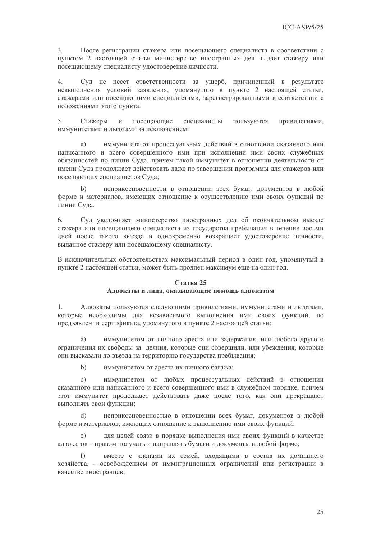3. После регистрации стажера или посещающего специалиста в соответствии с пунктом 2 настоящей статьи министерство иностранных дел выдает стажеру или посещающему специалисту удостоверение личности.

 $\overline{4}$ . Суд не несет ответственности за ущерб, причиненный в результате невыполнения условий заявления, упомянутого в пункте 2 настоящей статьи, стажерами или посещающими специалистами, зарегистрированными в соответствии с положениями этого пункта.

 $5<sub>1</sub>$ посещающие специалисты пользуются Стажеры  $\mathbf{M}$ привилегиями, иммунитетами и льготами за исключением:

иммунитета от процессуальных действий в отношении сказанного или  $a)$ написанного и всего совершенного ими при исполнении ими своих служебных обязанностей по линии Суда, причем такой иммунитет в отношении деятельности от имени Суда продолжает действовать даже по завершении программы для стажеров или посещающих специалистов Суда;

неприкосновенности в отношении всех бумаг, документов в любой  $h)$ форме и материалов, имеющих отношение к осуществлению ими своих функций по линии Суда.

6. Суд уведомляет министерство иностранных дел об окончательном выезде стажера или посещающего специалиста из государства пребывания в течение восьми дней после такого выезда и одновременно возвращает удостоверение личности, выданное стажеру или посещающему специалисту.

В исключительных обстоятельствах максимальный период в один год, упомянутый в пункте 2 настоящей статьи, может быть продлен максимум еще на один год.

#### Статья 25

# Адвокаты и лица, оказывающие помощь адвокатам

 $1.$ Адвокаты пользуются следующими привилегиями, иммунитетами и льготами, которые необходимы для независимого выполнения ими своих функций, по предъявлении сертификата, упомянутого в пункте 2 настоящей статьи:

иммунитетом от личного ареста или задержания, или любого другого a) ограничения их свободы за деяния, которые они совершили, или убеждения, которые они высказали до въезда на территорию государства пребывания:

 $b)$ иммунитетом от ареста их личного багажа;

иммунитетом от любых процессуальных действий в отношении  $\mathcal{C}$ ) сказанного или написанного и всего совершенного ими в служебном порядке, причем этот иммунитет продолжает действовать даже после того, как они прекращают выполнять свои функции;

неприкосновенностью в отношении всех бумаг, документов в любой  $\mathbf{d}$ форме и материалов, имеющих отношение к выполнению ими своих функций;

для целей связи в порядке выполнения ими своих функций в качестве  $e)$ адвокатов – правом получать и направлять бумаги и документы в любой форме;

вместе с членами их семей, входящими в состав их домашнего хозяйства, - освобождением от иммиграционных ограничений или регистрации в качестве иностранцев;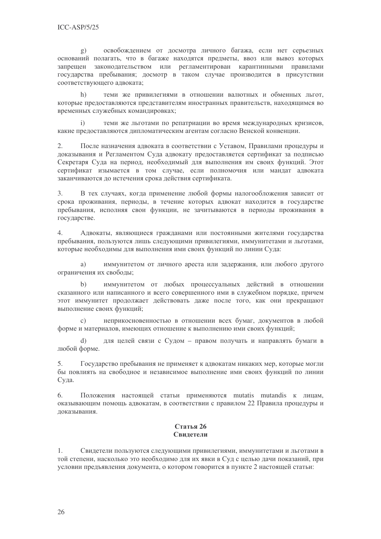освобождением от досмотра личного багажа, если нет серьезных  $\mathbf{g}$ ) оснований полагать, что в багаже находятся предметы, ввоз или вывоз которых запрещен законодательством или регламентирован карантинными правилами государства пребывания; досмотр в таком случае производится в присутствии соответствующего адвоката;

теми же привилегиями в отношении валютных и обменных льгот,  $h)$ которые предоставляются представителям иностранных правительств, находящимся во временных служебных командировках;

теми же льготами по репатриации во время международных кризисов,  $\mathbf{i}$ какие предоставляются дипломатическим агентам согласно Венской конвенции.

После назначения адвоката в соответствии с Уставом, Правилами процедуры и  $2.$ доказывания и Регламентом Суда адвокату предоставляется сертификат за подписью Секретаря Суда на период, необходимый для выполнения им своих функций. Этот сертификат изымается в том случае, если полномочия или мандат адвоката заканчиваются до истечения срока действия сертификата.

 $\overline{3}$ . В тех случаях, когда применение любой формы налогообложения зависит от срока проживания, периоды, в течение которых адвокат находится в государстве пребывания, исполняя свои функции, не зачитываются в периоды проживания в государстве.

 $\overline{4}$ . Адвокаты, являющиеся гражданами или постоянными жителями государства пребывания, пользуются лишь следующими привилегиями, иммунитетами и льготами, которые необходимы для выполнения ими своих функций по линии Суда:

иммунитетом от личного ареста или залержания, или любого другого a) ограничения их свободы:

иммунитетом от любых процессуальных действий в отношении  $b)$ сказанного или написанного и всего совершенного ими в служебном порядке, причем этот иммунитет продолжает действовать даже после того, как они прекращают выполнение своих функций;

неприкосновенностью в отношении всех бумаг, документов в любой  $\mathcal{C}$ ) форме и материалов, имеющих отношение к выполнению ими своих функций;

для целей связи с Судом - правом получать и направлять бумаги в  $(b)$ любой форме.

5. Государство пребывания не применяет к адвокатам никаких мер, которые могли бы повлиять на свободное и независимое выполнение ими своих функций по линии Суда.

6. Положения настоящей статьи применяются mutatis mutandis к лицам, оказывающим помощь адвокатам, в соответствии с правилом 22 Правила процедуры и доказывания.

#### Статья 26 Свилетели

 $1.$ Свидетели пользуются следующими привилегиями, иммунитетами и льготами в той степени, насколько это необходимо для их явки в Суд с целью дачи показаний, при условии предъявления документа, о котором говорится в пункте 2 настоящей статьи: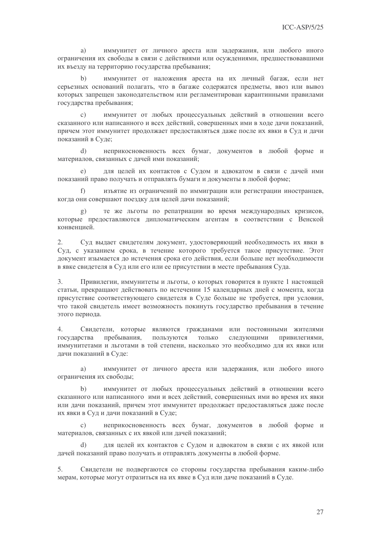иммунитет от личного ареста или задержания, или любого иного a) ограничения их свободы в связи с действиями или осуждениями, предшествовавшими их въезду на территорию государства пребывания;

иммунитет от наложения ареста на их личный багаж, если нет  $h)$ серьезных оснований полагать, что в багаже содержатся предметы, ввоз или вывоз которых запрещен законодательством или регламентирован карантинными правилами государства пребывания;

 $c)$ иммунитет от любых процессуальных действий в отношении всего сказанного или написанного и всех действий, совершенных ими в ходе дачи показаний, причем этот иммунитет продолжает предоставляться даже после их явки в Суд и дачи показаний в Суде;

неприкосновенность всех бумаг, документов в любой форме и  $\mathbf{d}$ материалов, связанных с дачей ими показаний;

для целей их контактов с Судом и адвокатом в связи с дачей ими показаний право получать и отправлять бумаги и документы в любой форме;

изъятие из ограничений по иммиграции или регистрации иностранцев,  $f$ когда они совершают поездку для целей дачи показаний;

 $\mathbf{g}$ ) те же льготы по репатриации во время международных кризисов, которые предоставляются дипломатическим агентам в соответствии с Венской конвеннией.

 $2.$ Суд выдает свидетелям документ, удостоверяющий необходимость их явки в Сул, с указанием срока, в течение которого требуется такое присутствие. Этот локумент изымается до истечения срока его лействия, если больше нет необходимости в явке свидетеля в Суд или его или ее присутствии в месте пребывания Суда.

Привилегии, иммунитеты и льготы, о которых говорится в пункте 1 настоящей  $\mathfrak{Z}$ . статьи, прекращают действовать по истечении 15 календарных дней с момента, когда присутствие соответствующего свидетеля в Суде больше не требуется, при условии, что такой свидетель имеет возможность покинуть государство пребывания в течение этого периода.

 $\overline{4}$ . Свидетели, которые являются гражданами или постоянными жителями государства пребывания, пользуются ТОЛЬКО следующими привилегиями, иммунитетами и льготами в той степени, насколько это необходимо для их явки или дачи показаний в Суде:

иммунитет от личного ареста или задержания, или любого иного  $a)$ ограничения их свободы;

 $b)$ иммунитет от любых процессуальных действий в отношении всего сказанного или написанного ими и всех лействий, совершенных ими во время их явки или дачи показаний, причем этот иммунитет продолжает предоставляться даже после их явки в Сул и лачи показаний в Суле:

неприкосновенность всех бумаг, документов в любой форме и  $\mathcal{C}$ ) материалов, связанных с их явкой или дачей показаний;

для целей их контактов с Судом и адвокатом в связи с их явкой или  $\overline{d}$ дачей показаний право получать и отправлять документы в любой форме.

Свидетели не подвергаются со стороны государства пребывания каким-либо 5. мерам, которые могут отразиться на их явке в Суд или даче показаний в Суде.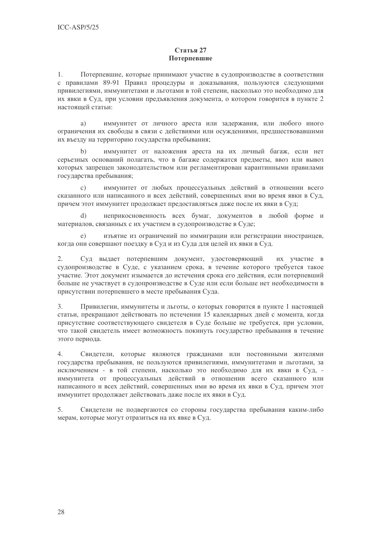# Статья 27 Потерпевшие

 $1.$ Потерпевшие, которые принимают участие в судопроизводстве в соответствии с правилами 89-91 Правил процедуры и доказывания, пользуются следующими привилегиями, иммунитетами и льготами в той степени, насколько это необходимо для их явки в Суд, при условии предъявления документа, о котором говорится в пункте 2 настоящей статьи:

иммунитет от личного ареста или задержания, или любого иного  $a)$ ограничения их свободы в связи с действиями или осуждениями, предшествовавшими их въезду на территорию государства пребывания;

 $b)$ иммунитет от наложения ареста на их личный багаж, если нет серьезных оснований полагать, что в багаже содержатся предметы, ввоз или вывоз которых запрещен законодательством или регламентирован карантинными правилами государства пребывания;

 $\overline{c}$ ) иммунитет от любых процессуальных действий в отношении всего сказанного или написанного и всех действий, совершенных ими во время явки в Суд, причем этот иммунитет продолжает предоставляться даже после их явки в Суд;

неприкосновенность всех бумаг, документов в любой форме и  $(b)$ материалов, связанных с их участием в судопроизводстве в Суде;

изъятие из ограничений по иммиграции или регистрации иностранцев,  $e)$ когда они совершают поездку в Суд и из Суда для целей их явки в Суд.

 $2.$ Суд выдает потерпевшим документ, удостоверяющий их участие в судопроизводстве в Суде, с указанием срока, в течение которого требуется такое участие. Этот документ изымается до истечения срока его действия, если потерпевший больше не участвует в судопроизводстве в Суде или если больше нет необходимости в присутствии потерпевшего в месте пребывания Суда.

 $3.$ Привилегии, иммунитеты и льготы, о которых говорится в пункте 1 настоящей статьи, прекращают действовать по истечении 15 календарных дней с момента, когда присутствие соответствующего свидетеля в Суде больше не требуется, при условии, что такой свидетель имеет возможность покинуть государство пребывания в течение этого периода.

 $\overline{4}$ . Свидетели, которые являются гражданами или постоянными жителями государства пребывания, не пользуются привилегиями, иммунитетами и льготами, за исключением - в той степени, насколько это необходимо для их явки в Суд, иммунитета от процессуальных действий в отношении всего сказанного или написанного и всех действий, совершенных ими во время их явки в Суд, причем этот иммунитет продолжает действовать даже после их явки в Суд.

5. Свидетели не подвергаются со стороны государства пребывания каким-либо мерам, которые могут отразиться на их явке в Суд.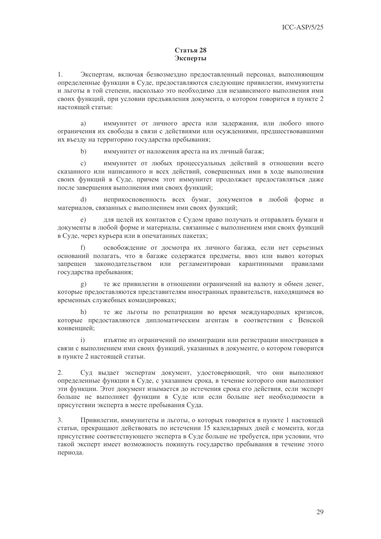# Статья 28 Эксперты

 $1.$ Экспертам, включая безвозмездно предоставленный персонал, выполняющим определенные функции в Суде, предоставляются следующие привилегии, иммунитеты и льготы в той степени, насколько это необходимо для независимого выполнения ими своих функций, при условии предъявления документа, о котором говорится в пункте 2 настоящей статьи:

иммунитет от личного ареста или задержания, или любого иного  $a)$ ограничения их свободы в связи с действиями или осуждениями, предшествовавшими их въезду на территорию государства пребывания;

 $b)$ иммунитет от наложения ареста на их личный багаж:

 $\mathcal{C}$ ) иммунитет от любых процессуальных действий в отношении всего сказанного или написанного и всех действий, совершенных ими в ходе выполнения своих функций в Суде, причем этот иммунитет продолжает предоставляться даже после завершения выполнения ими своих функций:

неприкосновенность всех бумаг, документов в любой форме и  $\overline{d}$ материалов, связанных с выполнением ими своих функций;

для целей их контактов с Судом право получать и отправлять бумаги и  $\epsilon$ ) документы в любой форме и материалы, связанные с выполнением ими своих функций в Суде, через курьера или в опечатанных пакетах;

 $f$ ) освобождение от досмотра их личного багажа, если нет серьезных оснований полагать, что в багаже содержатся предметы, ввоз или вывоз которых запрещен законодательством или регламентирован карантинными правилами государства пребывания;

те же привилегии в отношении ограничений на валюту и обмен денег,  $\mathbf{g}$ ) которые предоставляются представителям иностранных правительств, находящимся во временных служебных командировках;

 $h)$ те же льготы по репатриации во время международных кризисов, которые предоставляются дипломатическим агентам в соответствии с Венской конвенцией:

изъятие из ограничений по иммиграции или регистрации иностранцев в  $\mathbf{i}$ связи с выполнением ими своих функций, указанных в локументе, о котором говорится в пункте 2 настоящей статьи.

Суд выдает экспертам документ, удостоверяющий, что они выполняют  $2.$ определенные функции в Суде, с указанием срока, в течение которого они выполняют эти функции. Этот документ изымается до истечения срока его действия, если эксперт больше не выполняет функции в Суде или если больше нет необходимости в присутствии эксперта в месте пребывания Суда.

 $3.$ Привилегии, иммунитеты и льготы, о которых говорится в пункте 1 настоящей статьи, прекращают действовать по истечении 15 календарных дней с момента, когда присутствие соответствующего эксперта в Суде больше не требуется, при условии, что такой эксперт имеет возможность покинуть государство пребывания в течение этого периода.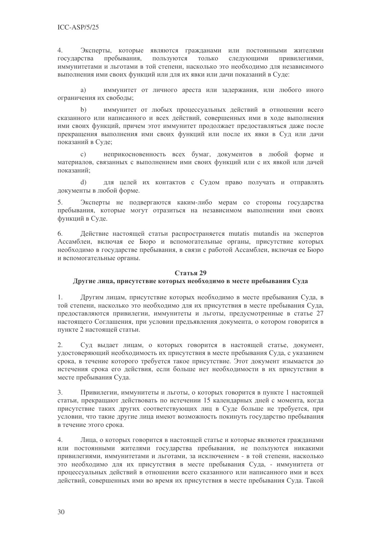$4.$ Эксперты, которые являются гражданами или постоянными жителями ТОЛЬКО пребывания, пользуются государства следующими привилегиями. иммунитетами и льготами в той степени, насколько это необходимо для независимого выполнения ими своих функций или для их явки или дачи показаний в Суде:

иммунитет от личного ареста или задержания, или любого иного a) ограничения их свободы;

иммунитет от любых процессуальных действий в отношении всего  $h)$ сказанного или написанного и всех лействий, совершенных ими в холе выполнения ими своих функций, причем этот иммунитет продолжает предоставляться даже после прекращения выполнения ими своих функций или после их явки в Суд или дачи показаний в Суде;

неприкосновенность всех бумаг, документов в любой форме и  $\mathbf{c})$ материалов, связанных с выполнением ими своих функций или с их явкой или дачей показаний:

для целей их контактов с Судом право получать и отправлять  $(b)$ документы в любой форме.

Эксперты не подвергаются каким-либо мерам со стороны государства  $5<sub>1</sub>$ пребывания, которые могут отразиться на независимом выполнении ими своих функций в Суде.

6. Действие настоящей статьи распространяется mutatis mutandis на экспертов Ассамблеи, включая ее Бюро и вспомогательные органы, присутствие которых необходимо в государстве пребывания, в связи с работой Ассамблеи, включая ее Бюро и вспомогательные органы.

# Статья 29

# Другие лица, присутствие которых необходимо в месте пребывания Суда

Другим лицам, присутствие которых необходимо в месте пребывания Суда, в 1. той степени, насколько это необходимо для их присутствия в месте пребывания Суда, предоставляются привилегии, иммунитеты и льготы, предусмотренные в статье 27 настоящего Соглашения, при условии предъявления документа, о котором говорится в пункте 2 настоящей статьи.

Суд выдает лицам, о которых говорится в настоящей статье, документ,  $2.$ удостоверяющий необходимость их присутствия в месте пребывания Суда, с указанием срока, в течение которого требуется такое присутствие. Этот документ изымается до истечения срока его действия, если больше нет необходимости в их присутствии в месте пребывания Суда.

 $3.$ Привилегии, иммунитеты и льготы, о которых говорится в пункте 1 настоящей статьи, прекращают действовать по истечении 15 календарных дней с момента, когда присутствие таких других соответствующих лиц в Суде больше не требуется, при условии, что такие другие лица имеют возможность покинуть государство пребывания в течение этого срока.

 $\overline{4}$ . Лица, о которых говорится в настоящей статье и которые являются гражданами или постоянными жителями государства пребывания, не пользуются никакими привилегиями, иммунитетами и льготами, за исключением - в той степени, насколько это необходимо для их присутствия в месте пребывания Суда, - иммунитета от процессуальных действий в отношении всего сказанного или написанного ими и всех действий, совершенных ими во время их присутствия в месте пребывания Суда. Такой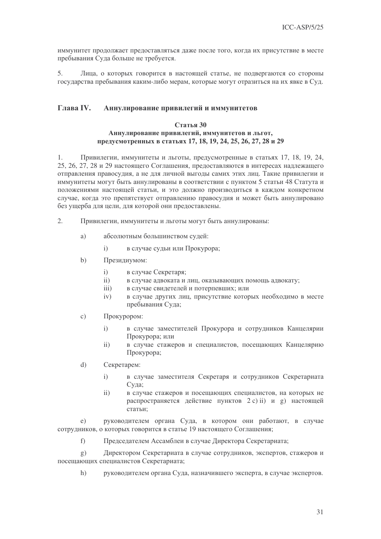иммунитет продолжает предоставляться даже после того, когда их присутствие в месте пребывания Суда больше не требуется.

Лица, о которых говорится в настоящей статье, не подвергаются со стороны 5. государства пребывания каким-либо мерам, которые могут отразиться на их явке в Суд.

#### **Глава IV.** Аннулирование привилегий и иммунитетов

# Статья 30 Аннулирование привилегий, иммунитетов и льгот, предусмотренных в статьях 17, 18, 19, 24, 25, 26, 27, 28 и 29

1. Привилегии, иммунитеты и льготы, предусмотренные в статьях 17, 18, 19, 24, 25, 26, 27, 28 и 29 настоящего Соглашения, предоставляются в интересах надлежащего отправления правосудия, а не для личной выгоды самих этих лиц. Такие привилегии и иммунитеты могут быть аннулированы в соответствии с пунктом 5 статьи 48 Статута и положениями настоящей статьи, и это должно производиться в каждом конкретном случае, когда это препятствует отправлению правосудия и может быть аннулировано без ущерба для цели, для которой они предоставлены.

- $\overline{2}$ . Привилегии, иммунитеты и льготы могут быть аннулированы:
	- абсолютным большинством судей:  $a)$ 
		- $\mathbf{i}$ в случае судьи или Прокурора;
	- $b)$ Президиумом:
		- $i)$ в случае Секретаря;
		- в случае адвоката и лиц, оказывающих помощь адвокату;  $ii)$
		- $\overline{111}$ в случае свидетелей и потерпевших; или
		- в случае других лиц, присутствие которых необходимо в месте  $iv)$ пребывания Суда;
	- $\mathcal{C}$ ) Прокурором:
		- в случае заместителей Прокурора и сотрудников Канцелярии  $\overline{1}$ Прокурора; или
		- в случае стажеров и специалистов, посещающих Канцелярию  $ii)$ Прокурора;
	- $\overline{d}$ Секретарем:
		- $\mathbf{i}$ в случае заместителя Секретаря и сотрудников Секретариата Сула:
		- в случае стажеров и посещающих специалистов, на которых не  $ii)$ распространяется действие пунктов 2 c) ii) и g) настоящей статьи;

руководителем органа Суда, в котором они работают, в случае  $e)$ сотрудников, о которых говорится в статье 19 настоящего Соглашения;

Председателем Ассамблеи в случае Директора Секретариата;  $f$ 

Лиректором Секретариата в случае сотрудников, экспертов, стажеров и  $\mathfrak{g}$ ) посещающих специалистов Секретариата;

 $h)$ руководителем органа Суда, назначившего эксперта, в случае экспертов.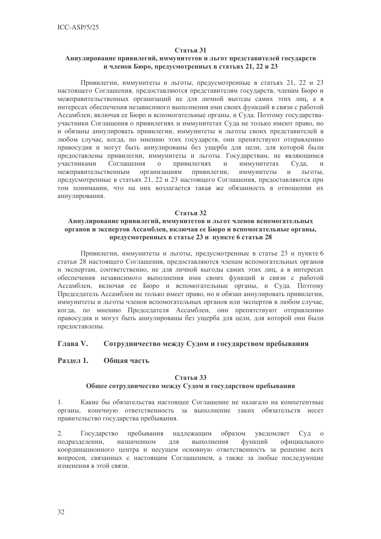# Аннулирование привилегий, иммунитетов и льгот представителей государств и членов Бюро, предусмотренных в статьях 21, 22 и 23

Привилегии, иммунитеты и льготы, предусмотренные в статьях 21, 22 и 23 настоящего Соглашения, предоставляются представителям государств, членам Бюро и межправительственных организаций не для личной выгоды самих этих лиц, а в интересах обеспечения независимого выполнения ими своих функций в связи с работой Ассамблеи, включая ее Бюро и вспомогательные органы, и Суда. Поэтому государстваучастники Соглашения о привилегиях и иммунитетах Суда не только имеют право, но и обязаны аннулировать привилегии, иммунитеты и льготы своих представителей в любом случае, когда, по мнению этих государств, они препятствуют отправлению правосудия и могут быть аннулированы без ущерба для цели, для которой были предоставлены привилегии, иммунитеты и льготы. Государствам, не являющимся участниками Соглашения  $\overline{O}$ привилегиях  $\mathbf{H}$ иммунитетах Суда,  $\mathbf{M}$ организациям межправительственным привилегии, иммунитеты  $\mathbf{M}$ льготы, предусмотренные в статьях 21, 22 и 23 настоящего Соглашения, предоставляются при том понимании, что на них возлагается такая же обязанность в отношении их аннулирования.

#### Статья 32

# Аннулирование привилегий, иммунитетов и льгот членов вспомогательных органов и экспертов Ассамблеи, включая ее Бюро и вспомогательные органы, предусмотренных в статье 23 и пункте 6 статьи 28

Привилегии, иммунитеты и льготы, предусмотренные в статье 23 и пункте 6 статьи 28 настоящего Соглашения, предоставляются членам вспомогательных органов и экспертам, соответственно, не для личной выгоды самих этих лиц, а в интересах обеспечения независимого выполнения ими своих функций в связи с работой Ассамблеи, включая ее Бюро и вспомогательные органы, и Суда. Поэтому Председатель Ассамблеи не только имеет право, но и обязан аннулировать привилегии, иммунитеты и льготы членов вспомогательных органов или экспертов в любом случае, когда, по мнению Председателя Ассамблеи, они препятствуют отправлению правосудия и могут быть аннулированы без ущерба для цели, для которой они были предоставлены.

#### **Глявя V.** Сотрудничество между Судом и государством пребывания

#### Раздел 1. Общая часть

#### Статья 33

# Общее сотрудничество между Судом и государством пребывания

 $1.$ Какие бы обязательства настоящее Соглашение не налагало на компетентные органы, конечную ответственность за выполнение таких обязательств несет правительство государства пребывания.

 $2.$ Государство пребывания образом уведомляет надлежащим  $Cv\pi$  $\overline{0}$ функций подразделении, назначенном ДЛЯ выполнения официального координационного центра и несущем основную ответственность за решение всех вопросов, связанных с настоящим Соглашением, а также за любые последующие изменения в этой связи.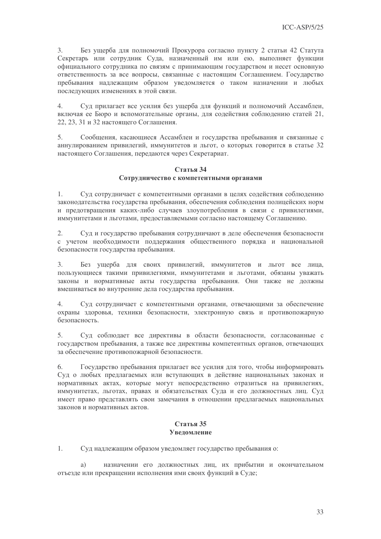3. Без ущерба для полномочий Прокурора согласно пункту 2 статьи 42 Статута Секретарь или сотрудник Суда, назначенный им или ею, выполняет функции официального сотрудника по связям с принимающим государством и несет основную ответственность за все вопросы, связанные с настоящим Соглашением. Государство пребывания надлежащим образом уведомляется о таком назначении и любых последующих изменениях в этой связи.

 $\overline{4}$ . Сул прилагает все усилия без ушерба для функций и полномочий Ассамблеи, включая ее Бюро и вспомогательные органы, для содействия соблюдению статей 21, 22, 23, 31 и 32 настоящего Соглашения.

5. Сообщения, касающиеся Ассамблеи и государства пребывания и связанные с аннулированием привилегий, иммунитетов и льгот, о которых говорится в статье 32 настоящего Соглашения, передаются через Секретариат.

#### Статья 34 Сотрудничество с компетентными органами

 $1<sup>1</sup>$ Суд сотрудничает с компетентными органами в целях содействия соблюдению законодательства государства пребывания, обеспечения соблюдения полицейских норм и предотвращения каких-либо случаев злоупотребления в связи с привилегиями, иммунитетами и льготами, предоставляемыми согласно настоящему Соглашению.

Суд и государство пребывания сотрудничают в деле обеспечения безопасности 2. с учетом необходимости поддержания общественного порядка и национальной безопасности государства пребывания.

 $\overline{3}$ . Без ущерба для своих привилегий, иммунитетов и льгот все лица, пользующиеся такими привилегиями, иммунитетами и льготами, обязаны уважать законы и нормативные акты государства пребывания. Они также не должны вмешиваться во внутренние дела государства пребывания.

 $\overline{4}$ . Суд сотрудничает с компетентными органами, отвечающими за обеспечение охраны здоровья, техники безопасности, электронную связь и противопожарную безопасность

5. Суд соблюдает все директивы в области безопасности, согласованные с государством пребывания, а также все директивы компетентных органов, отвечающих за обеспечение противопожарной безопасности.

6. Государство пребывания прилагает все усилия для того, чтобы информировать Суд о любых предлагаемых или вступающих в действие национальных законах и нормативных актах, которые могут непосредственно отразиться на привилегиях, иммунитетах, льготах, правах и обязательствах Суда и его должностных лиц. Суд имеет право представлять свои замечания в отношении предлагаемых национальных законов и нормативных актов.

# Статья 35 **Увеломление**

 $1.$ Суд надлежащим образом уведомляет государство пребывания о:

назначении его должностных лиц, их прибытии и окончательном a) отъезде или прекращении исполнения ими своих функций в Суде;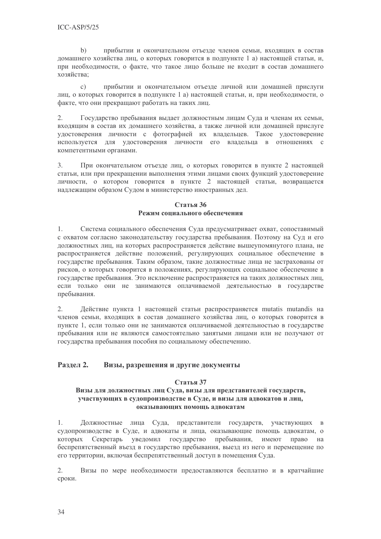$b)$ прибытии и окончательном отъезде членов семьи, входящих в состав домашнего хозяйства лиц, о которых говорится в подпункте 1 а) настоящей статьи, и, при необходимости, о факте, что такое лицо больше не входит в состав домашнего хозяйства:

прибытии и окончательном отъезде личной или домашней прислуги  $\mathcal{C}$ ) лиц, о которых говорится в подпункте 1 а) настоящей статьи, и, при необходимости, о факте, что они прекращают работать на таких лиц.

 $2.$ Государство пребывания вылает должностным лицам Суда и членам их семьи, входящим в состав их домашнего хозяйства, а также личной или домашней прислуге удостоверения личности с фотографией их владельцев. Такое удостоверение используется для удостоверения личности его владельца в отношениях с компетентными органами.

При окончательном отъезде лиц, о которых говорится в пункте 2 настоящей  $3.$ статьи, или при прекращении выполнения этими лицами своих функций удостоверение личности, о котором говорится в пункте 2 настоящей статьи, возвращается надлежащим образом Судом в министерство иностранных дел.

# Статья 36 Режим сонияльного обеспечения

Система социального обеспечения Суда предусматривает охват, сопоставимый  $1<sup>1</sup>$ с охватом согласно законодательству государства пребывания. Поэтому на Суд и его должностных лиц, на которых распространяется действие вышеупомянутого плана, не распространяется действие положений, регулирующих социальное обеспечение в государстве пребывания. Таким образом, такие должностные лица не застрахованы от рисков, о которых говорится в положениях, регулирующих социальное обеспечение в государстве пребывания. Это исключение распространяется на таких должностных лиц. если только они не занимаются оплачиваемой деятельностью в государстве пребывания.

Действие пункта 1 настоящей статьи распространяется mutatis mutandis на  $2.$ членов семьи, входящих в состав домашнего хозяйства лиц, о которых говорится в пункте 1, если только они не занимаются оплачиваемой леятельностью в государстве пребывания или не являются самостоятельно занятыми лицами или не получают от государства пребывания пособия по социальному обеспечению.

#### Разлел 2. Визы, разрешения и другие документы

# Статья 37

# Визы для должностных лиц Суда, визы для представителей государств, участвующих в судопроизводстве в Суде, и визы для адвокатов и лиц, оказывающих помощь адвокатам

 $1.$ Должностные лица Суда, представители государств, участвующих в судопроизводстве в Суде, и адвокаты и лица, оказывающие помощь адвокатам, о которых Секретарь уведомил государство пребывания, имеют право на беспрепятственный въезд в государство пребывания, выезд из него и перемешение по его территории, включая беспрепятственный доступ в помещения Суда.

2. Визы по мере необходимости предоставляются бесплатно и в кратчайшие сроки.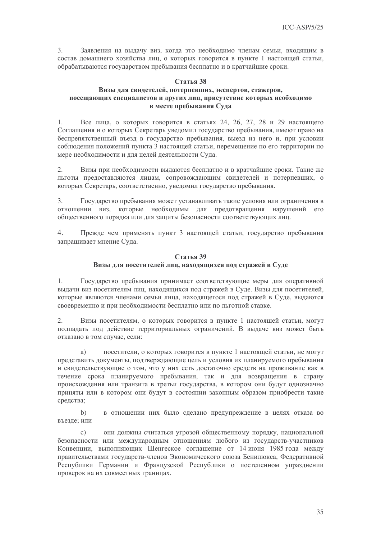3. Заявления на выдачу виз, когда это необходимо членам семьи, входящим в состав домашнего хозяйства лиц, о которых говорится в пункте 1 настоящей статьи, обрабатываются государством пребывания бесплатно и в кратчайшие сроки.

#### Статья 38

# Визы для свидетелей, потерпевших, экспертов, стажеров, посещающих специалистов и других лиц, присутствие которых необходимо в месте пребывания Суда

Все лица, о которых говорится в статьях 24, 26, 27, 28 и 29 настоящего  $1.$ Соглашения и о которых Секретарь уведомил государство пребывания, имеют право на беспрепятственный въезд в государство пребывания, выезд из него и, при условии соблюдения положений пункта 3 настоящей статьи, перемещение по его территории по мере необходимости и для целей деятельности Суда.

 $2.$ Визы при необходимости выдаются бесплатно и в кратчайшие сроки. Такие же льготы предоставляются лицам, сопровождающим свидетелей и потерпевших, о которых Секретарь, соответственно, уведомил государство пребывания.

Государство пребывания может устанавливать такие условия или ограничения в  $\mathcal{E}$ отношении виз, которые необходимы для предотвращения нарушений его общественного порядка или для защиты безопасности соответствующих лиц.

 $\overline{4}$ . Прежде чем применять пункт 3 настоящей статьи, государство пребывания запрашивает мнение Суда.

# Статья 39 Визы для посетителей лиц, находящихся под стражей в Суде

Государство пребывания принимает соответствующие меры для оперативной 1. вылачи виз посетителям лиц, нахоляшихся пол стражей в Суле. Визы для посетителей, которые являются членами семьи лица, находящегося под стражей в Суде, выдаются своевременно и при необходимости бесплатно или по льготной ставке.

 $\overline{2}$ . Визы посетителям, о которых говорится в пункте 1 настоящей статьи, могут подпадать под действие территориальных ограничений. В выдаче виз может быть отказано в том случае, если:

посетители, о которых говорится в пункте 1 настоящей статьи, не могут a) представить документы, подтверждающие цель и условия их планируемого пребывания и свидетельствующие о том, что у них есть достаточно средств на проживание как в течение срока планируемого пребывания, так и для возвращения в страну происхождения или транзита в третьи государства, в котором они будут однозначно приняты или в котором они будут в состоянии законным образом приобрести такие средства;

в отношении них было сделано предупреждение в целях отказа во  $b)$ въезле: или

они должны считаться угрозой общественному порядку, национальной  $\mathcal{C}$ ) безопасности или международным отношениям любого из государств-участников Конвенции, выполняющих Шенгеское соглашение от 14 июня 1985 года между правительствами государств-членов Экономического союза Бенилюкса, Федеративной Республики Германии и Французской Республики о постепенном упразднении проверок на их совместных границах.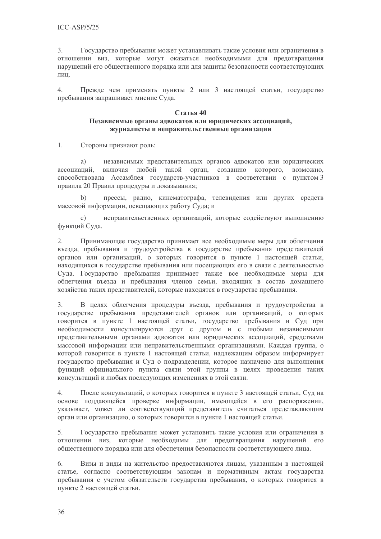3. Государство пребывания может устанавливать такие условия или ограничения в отношении виз, которые могут оказаться необходимыми для предотвращения нарушений его общественного порядка или для защиты безопасности соответствующих лин.

Прежде чем применять пункты 2 или 3 настоящей статьи, государство  $4.$ пребывания запрашивает мнение Суда.

#### Статья 40 Независимые органы адвокатов или юридических ассоциаций, журналисты и неправительственные организации

 $1.$ Стороны признают роль:

независимых представительных органов адвокатов или юридических  $a)$ ассоциаций, включая любой такой орган, созданию которого, возможно, способствовала Ассамблея государств-участников в соответствии с пунктом 3 правила 20 Правил процедуры и доказывания;

прессы, радио, кинематографа, телевидения или других средств  $b)$ массовой информации, освещающих работу Суда; и

неправительственных организаций, которые содействуют выполнению  $\mathcal{C}$ ) функций Суда.

 $2.$ Принимающее государство принимает все необходимые меры для облегчения въезда, пребывания и трудоустройства в государстве пребывания представителей органов или организаций, о которых говорится в пункте 1 настоящей статьи, находящихся в государстве пребывания или посещающих его в связи с деятельностью Суда. Государство пребывания принимает также все необходимые меры для облегчения въезда и пребывания членов семьи, входящих в состав домашнего хозяйства таких представителей, которые находятся в государстве пребывания.

В целях облегчения процедуры въезда, пребывания и трудоустройства в 3. государстве пребывания представителей органов или организаций, о которых говорится в пункте 1 настоящей статьи, государство пребывания и Суд при необходимости консультируются друг с другом и с любыми независимыми представительными органами адвокатов или юридических ассоциаций, средствами массовой информации или неправительственными организациями. Каждая группа, о которой говорится в пункте 1 настоящей статьи, надлежащим образом информирует государство пребывания и Суд о подразделении, которое назначено для выполнения функций официального пункта связи этой группы в целях проведения таких консультаций и любых последующих изменениях в этой связи.

 $\overline{4}$ . После консультаций, о которых говорится в пункте 3 настоящей статьи, Суд на основе поддающейся проверке информации, имеющейся в его распоряжении, указывает, может ли соответствующий представитель считаться представляющим орган или организацию, о которых говорится в пункте 1 настоящей статьи.

5. Государство пребывания может установить такие условия или ограничения в отношении виз, которые необходимы для предотвращения нарушений его общественного порядка или для обеспечения безопасности соответствующего лица.

6. Визы и виды на жительство предоставляются лицам, указанным в настоящей статье, согласно соответствующим законам и нормативным актам государства пребывания с учетом обязательств государства пребывания, о которых говорится в пункте 2 настоящей статьи.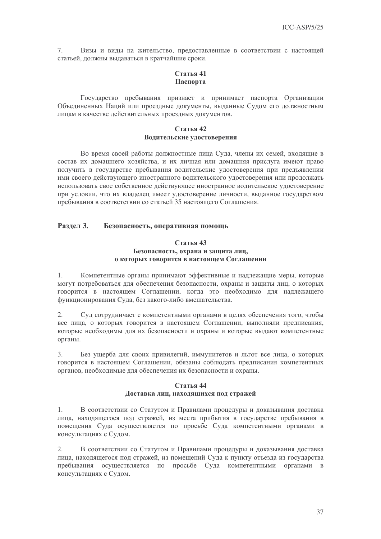7. Визы и виды на жительство, предоставленные в соответствии с настоящей статьей, должны выдаваться в кратчайшие сроки.

# Статья 41 Паспорта

Государство пребывания признает и принимает паспорта Организации Объединенных Наций или проездные документы, выданные Судом его должностным лицам в качестве действительных проездных документов.

#### Статья 42 Водительские удостоверения

Во время своей работы должностные лица Суда, члены их семей, входящие в состав их домашнего хозяйства, и их личная или домашняя прислуга имеют право получить в государстве пребывания водительские удостоверения при предъявлении ими своего действующего иностранного водительского удостоверения или продолжать использовать свое собственное действующее иностранное водительское удостоверение при условии, что их владелец имеет удостоверение личности, выданное государством пребывания в соответствии со статьей 35 настоящего Соглашения.

#### Разлел 3. Безопасность, оперативная помощь

# Статья 43 Безопасность, охрана и защита лиц, о которых говорится в настоящем Соглашении

Компетентные органы принимают эффективные и надлежащие меры, которые  $1.$ могут потребоваться для обеспечения безопасности, охраны и защиты лиц, о которых говорится в настоящем Соглашении, когда это необходимо для надлежащего функционирования Суда, без какого-либо вмешательства.

2. Суд сотрудничает с компетентными органами в целях обеспечения того, чтобы все лица, о которых говорится в настоящем Соглашении, выполняли предписания, которые необходимы для их безопасности и охраны и которые выдают компетентные органы.

Без ущерба для своих привилегий, иммунитетов и льгот все лица, о которых  $3.$ говорится в настоящем Соглашении, обязаны соблюдать предписания компетентных органов, необходимые для обеспечения их безопасности и охраны.

# Статья 44

# Доставка лиц, находящихся под стражей

1. В соответствии со Статутом и Правилами процедуры и доказывания доставка лица, находящегося под стражей, из места прибытия в государстве пребывания в помещения Сула осуществляется по просьбе Сула компетентными органами в консультациях с Судом.

 $2.$ В соответствии со Статутом и Правилами процедуры и доказывания доставка лица, находящегося под стражей, из помещений Суда к пункту отъезда из государства пребывания осуществляется по просьбе Суда компетентными органами в консультациях с Судом.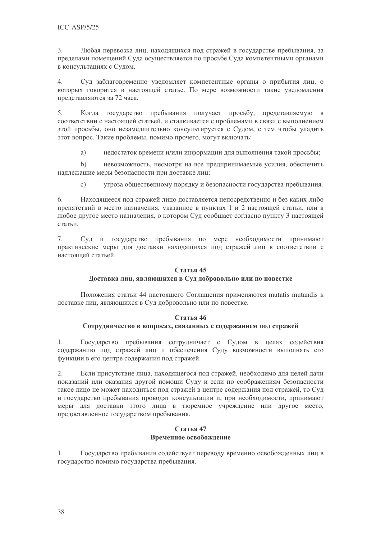3. Любая перевозка лиц, находящихся под стражей в государстве пребывания, за пределами помещений Суда осуществляется по просьбе Суда компетентными органами в консультациях с Судом.

 $\overline{4}$ . Суд заблаговременно уведомляет компетентные органы о прибытия лиц, о которых говорится в настоящей статье. По мере возможности такие уведомления представляются за 72 часа.

 $5<sub>1</sub>$ Когда государство пребывания получает просьбу, представляемую в соответствии с настоящей статьей, и сталкивается с проблемами в связи с выполнением этой просьбы, оно незамедлительно консультируется с Судом, с тем чтобы уладить этот вопрос. Такие проблемы, помимо прочего, могут включать:

нелостаток времени и/или информации лля выполнения такой просьбы: a)

 $b)$ невозможность, несмотря на все предпринимаемые усилия, обеспечить надлежащие меры безопасности при доставке лиц;

 $\mathbf{c})$ угроза общественному порядку и безопасности государства пребывания.

 $6.$ Нахоляшееся под стражей лицо доставляется непосредственно и без каких-либо препятствий в место назначения, указанное в пунктах 1 и 2 настоящей статьи, или в любое другое место назначения, о котором Суд сообщает согласно пункту 3 настоящей статьи.

7. Суд и государство пребывания по мере необходимости принимают практические меры для доставки находящихся под стражей лиц в соответствии с настояшей статьей.

# Статья 45

# Доставка лиц, являющихся в Суд добровольно или по повестке

Положения статьи 44 настоящего Соглашения применяются mutatis mutandis к доставке лиц, являющихся в Суд добровольно или по повестке.

# Статья 46

# Сотрудничество в вопросах, связанных с содержанием под стражей

Государство пребывания сотрудничает с Судом в целях содействия  $1.$ содержанию под стражей лиц и обеспечения Суду возможности выполнять его функции в его центре содержания под стражей.

 $2.$ Если присутствие лица, находящегося под стражей, необходимо для целей дачи показаний или оказания другой помощи Суду и если по соображениям безопасности такое лицо не может нахолиться пол стражей в центре солержания пол стражей, то Сул и государство пребывания проводят консультации и, при необходимости, принимают меры для доставки этого лица в тюремное учреждение или другое место, предоставленное государством пребывания.

#### Статья 47 Временное освобождение

Государство пребывания содействует переводу временно освобожденных лиц в  $1$ государство помимо государства пребывания.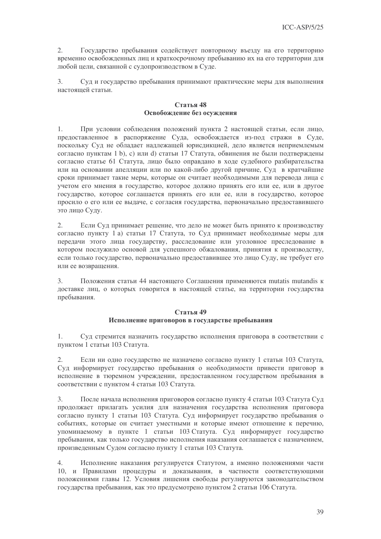2. Государство пребывания содействует повторному въезду на его территорию временно освобожденных лиц и краткосрочному пребыванию их на его территории для любой цели, связанной с судопроизводством в Суде.

 $\overline{3}$ . Суд и государство пребывания принимают практические меры для выполнения настояшей статьи.

# $C$ тятья  $48$ Освобождение без осуждения

При условии соблюдения положений пункта 2 настоящей статьи, если лицо, 1. предоставленное в распоряжение Суда, освобождается из-под стражи в Суде, поскольку Сул не облалает наллежащей юрисликцией, лело является неприемлемым согласно пунктам 1 b), с) или d) статьи 17 Статута, обвинения не были подтверждены согласно статье 61 Статута, лицо было оправдано в ходе судебного разбирательства или на основании апелляции или по какой-либо другой причине, Суд в кратчайшие сроки принимает такие меры, которые он считает необходимыми для перевода лица с учетом его мнения в государство, которое должно принять его или ее, или в другое государство, которое соглашается принять его или ее, или в государство, которое просило о его или ее выдаче, с согласия государства, первоначально предоставившего это лицо Суду.

 $2.$ Если Суд принимает решение, что дело не может быть принято к производству согласно пункту 1 а) статьи 17 Статута, то Суд принимает необходимые меры для передачи этого лица государству, расследование или уголовное преследование в котором послужило основой для успешного обжалования, принятия к производству, если только государство, первоначально предоставившее это лицо Суду, не требует его или ее возвращения.

 $\mathfrak{Z}$ . Положения статьи 44 настоящего Соглашения применяются mutatis mutandis к доставке лиц, о которых говорится в настоящей статье, на территории государства пребывания.

# Статья 49 Исполнение приговоров в государстве пребывания

 $1.$ Суд стремится назначить государство исполнения приговора в соответствии с пунктом 1 статьи 103 Статута.

 $2.$ Если ни одно государство не назначено согласно пункту 1 статьи 103 Статута, Суд информирует государство пребывания о необходимости привести приговор в исполнение в тюремном учреждении, предоставленном государством пребывания в соответствии с пунктом 4 статьи 103 Статута.

 $\overline{3}$ . После начала исполнения приговоров согласно пункту 4 статьи 103 Статута Суд продолжает прилагать усилия для назначения государства исполнения приговора согласно пункту 1 статьи 103 Статута. Суд информирует государство пребывания о событиях, которые он считает уместными и которые имеют отношение к перечню, упоминаемому в пункте 1 статьи 103 Статута. Суд информирует государство пребывания, как только государство исполнения наказания соглашается с назначением, произведенным Судом согласно пункту 1 статьи 103 Статута.

 $\overline{4}$ . Исполнение наказания регулируется Статутом, а именно положениями части 10, и Правилами процедуры и доказывания, в частности соответствующими положениями главы 12. Условия лишения свободы регулируются законодательством государства пребывания, как это предусмотрено пунктом 2 статьи 106 Статута.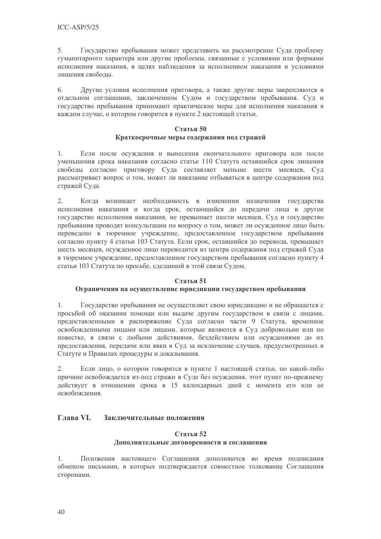5. Государство пребывания может представить на рассмотрение Суда проблему гуманитарного характера или другие проблемы, связанные с условиями или формами исполнения наказания, в целях наблюдения за исполнением наказания и условиями лишения своболы.

Другие условия исполнения приговора, а также другие меры закрепляются в 6. отдельном соглашении, заключенном Судом и государством пребывания. Суд и государство пребывания принимают практические меры для исполнения наказания в каждом случае, о котором говорится в пункте 2 настоящей статьи.

# Статья 50 Краткосрочные меры содержания под стражей

Если после осуждения и вынесения окончательного приговора или после  $1<sub>1</sub>$ уменьшения срока наказания согласно статье 110 Статута оставшийся срок лишения свободы согласно приговору Суда составляет меньше шести месяцев, Суд рассматривает вопрос о том, может ли наказание отбываться в центре содержания под стражей Суда.

 $\overline{2}$ . Когда возникает необходимость в изменении назначения государства исполнения наказания и когда срок, остающийся до передачи лица в другое государство исполнения наказания, не превышает шести месяцев. Суд и государство пребывания проводят консультации по вопросу о том, может ли осужденное лицо быть переведено в тюремное учреждение, предоставленное государством пребывания согласно пункту 4 статьи 103 Статута. Если срок, оставшийся до перевода, превышает шесть месяцев, осужденное лицо переводится из центра содержания под стражей Суда в тюремное учреждение, предоставленное государством пребывания согласно пункту 4 статьи 103 Статута по просьбе, сделанной в этой связи Судом.

# Статья 51

# Ограничения на осуществление юрисдикции государством пребывания

Государство пребывания не осуществляет свою юрисликцию и не обращается с  $1.$ просьбой об оказании помощи или выдаче другим государством в связи с лицами, предоставленными в распоряжение Суда согласно части 9 Статута, временное освобожденными лицами или лицами, которые являются в Суд добровольно или по повестке, в связи с любыми действиями, бездействием или осуждениями до их предоставления, передачи или явки в Суд за исключение случаев, предусмотренных в Статуте и Правилах процедуры и доказывания.

Если лицо, о котором говорится в пункте 1 настоящей статьи, по какой-либо  $2.$ причине освобождается из-под стражи в Суде без осуждения, этот пункт по-прежнему действует в отношении срока в 15 календарных дней с момента его или ее освобождения.

#### **Глава VI.** Заключительные положения

# Статья 52 Дополнительные договоренности и соглашения

 $1.$ Положения настоящего Соглашения дополняются во время подписания обменом письмами, в которых подтверждается совместное толкование Соглашения сторонами.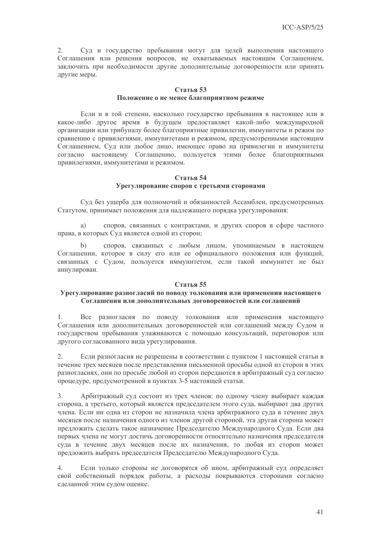2. Суд и государство пребывания могут для целей выполнения настоящего Соглашения или решения вопросов, не охватываемых настоящим Соглашением, заключить при необходимости другие дополнительные договоренности или принять другие меры.

#### Статья 53 Положение о не менее благоприятном режиме

Если и в той степени, насколько государство пребывания в настоящее или в какое-либо другое время в будущем предоставляет какой-либо международной организации или трибуналу более благоприятные привилегии, иммунитеты и режим по сравнению с привилегиями, иммунитетами и режимом, предусмотренными настоящим Соглашением, Суд или любое лицо, имеющее право на привилегии и иммунитеты согласно настоящему Соглашению, пользуется этими более благоприятными привилегиями, иммунитетами и режимом.

#### Статья 54 Урегулирование споров с третьими сторонами

Суд без ущерба для полномочий и обязанностей Ассамблеи, предусмотренных Статутом, принимает положения для надлежащего порядка урегулирования:

a) споров, связанных с контрактами, и других споров в сфере частного права, в которых Суд является одной из сторон;

споров, связанных с любым лицом, упоминаемым в настоящем  $\mathbf{b}$ Соглашении, которое в силу его или ее официального положения или функций, связанных с Судом, пользуется иммунитетом, если такой иммунитет не был аннулирован.

#### Статья 55

#### Урегулирование разногласий по поводу толкования или применения настоящего Соглашения или дополнительных договоренностей или соглашений

Все разногласия по поводу толкования или применения настоящего  $1<sub>1</sub>$ Соглашения или дополнительных договоренностей или соглашений между Судом и государством пребывания улаживаются с помощью консультаций, переговоров или другого согласованного вида урегулирования.

 $2.$ Если разногласия не разрешены в соответствии с пунктом 1 настоящей статьи в течение трех месяцев после представления письменной просьбы одной из сторон в этих разногласиях, они по просьбе любой из сторон передаются в арбитражный суд согласно процедуре, предусмотренной в пунктах 3-5 настоящей статьи.

 $3.$ Арбитражный суд состоит из трех членов: по одному члену выбирает каждая сторона, а третьего, который является председателем этого суда, выбирают два других члена. Если ни одна из сторон не назначила члена арбитражного суда в течение двух месяцев после назначения одного из членов другой стороной, эта другая сторона может предложить сделать такое назначение Председателю Международного Суда. Если два первых члена не могут достичь договоренности относительно назначения председателя суда в течение двух месяцев после их назначения, то любая из сторон может предложить выбрать председателя Председателю Международного Суда.

Если только стороны не договорятся об ином, арбитражный суд определяет  $\overline{4}$ свой собственный порядок работы, а расходы покрываются сторонами согласно сделанной этим судом оценке.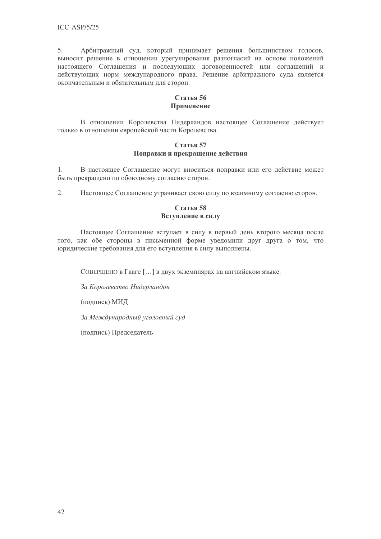5. Арбитражный суд, который принимает решения большинством голосов, выносит решение в отношении урегулирования разногласий на основе положений настоящего Соглашения и последующих договоренностей или соглашений и действующих норм международного права. Решение арбитражного суда является окончательным и обязательным для сторон.

# Статья 56 Применение

В отношении Королевства Нидерландов настоящее Соглашение действует только в отношении европейской части Королевства.

# Статья 57 Поправки и прекращение действия

 $\mathbf{1}$ . В настоящее Соглашение могут вноситься поправки или его действие может быть прекращено по обоюдному согласию сторон.

 $2.$ Настоящее Соглашение утрачивает свою силу по взаимному согласию сторон.

# Статья 58 Вступление в силу

Настоящее Соглашение вступает в силу в первый день второго месяца после того, как обе стороны в письменной форме уведомили друг друга о том, что юридические требования для его вступления в силу выполнены.

СОВЕРШЕНО в Гааге [...] в двух экземплярах на английском языке.

За Королевство Нидерландов

(подпись) МИД

За Международный уголовный суд

(подпись) Председатель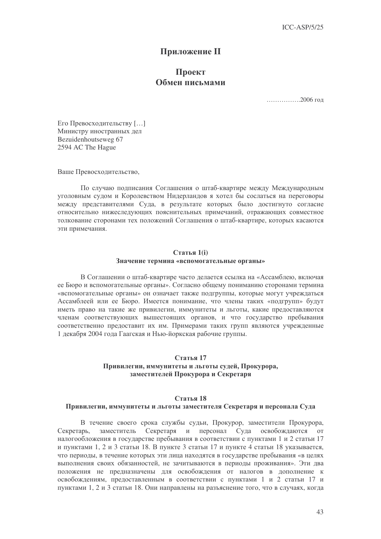# **Приложение II**

# Проект Обмен письмами

..................2006 год

Его Превосходительству [...] Министру иностранных дел Bezuidenhoutseweg 67 2594 AC The Hague

Ваше Превосходительство,

По случаю полписания Соглашения о штаб-квартире между Международным уголовным судом и Королевством Нидерландов я хотел бы сослаться на переговоры между представителями Суда, в результате которых было достигнуто согласие относительно нижеследующих пояснительных примечаний, отражающих совместное толкование сторонами тех положений Соглашения о штаб-квартире, которых касаются эти примечания.

#### Статья 1(i) Значение термина «вспомогательные органы»

В Соглашении о штаб-квартире часто делается ссылка на «Ассамблею, включая ее Бюро и вспомогательные органы». Согласно общему пониманию сторонами термина «вспомогательные органы» он означает также подгруппы, которые могут учреждаться Ассамблеей или ее Бюро. Имеется понимание, что члены таких «подгрупп» будут иметь право на такие же привилегии, иммунитеты и льготы, какие предоставляются членам соответствующих вышестоящих органов, и что государство пребывания соответственно предоставит их им. Примерами таких групп являются учрежденные 1 декабря 2004 года Гаагская и Нью-йоркская рабочие группы.

#### Статья 17 Привилегии, иммунитеты и льготы судей, Прокурора, заместителей Прокурора и Секретаря

#### Статья 18

#### Привилегии, иммунитеты и льготы заместителя Секретаря и персонала Суда

В течение своего срока службы судьи, Прокурор, заместители Прокурора, заместитель Секретаря и персонал Суда освобождаются от Секретарь. налогообложения в государстве пребывания в соответствии с пунктами 1 и 2 статьи 17 и пунктами 1, 2 и 3 статьи 18. В пункте 3 статьи 17 и пункте 4 статьи 18 указывается, что периоды, в течение которых эти лица находятся в государстве пребывания «в целях выполнения своих обязанностей, не зачитываются в периоды проживания». Эти два положения не предназначены для освобождения от налогов в дополнение к освобождениям, предоставленным в соответствии с пунктами 1 и 2 статьи 17 и пунктами 1, 2 и 3 статьи 18. Они направлены на разъяснение того, что в случаях, когда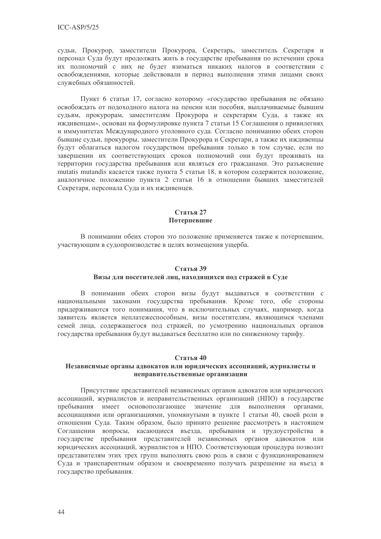судьи, Прокурор, заместители Прокурора, Секретарь, заместитель Секретаря и персонал Суда будут продолжать жить в государстве пребывания по истечении срока их полномочий с них не будет взиматься никаких налогов в соответствии с освобождениями, которые действовали в период выполнения этими лицами своих служебных обязанностей.

Пункт 6 статьи 17, согласно которому «государство пребывания не обязано освобождать от подоходного налога на пенсии или пособия, выплачиваемые бывшим судьям, прокурорам, заместителям Прокурора и секретарям Суда, а также их иждивенцам», основан на формулировке пункта 7 статьи 15 Соглашения о привилегиях и иммунитетах Международного уголовного суда. Согласно пониманию обеих сторон бывшие судьи, прокуроры, заместители Прокурора и Секретари, а также их иждивенцы будут облагаться налогом государством пребывания только в том случае, если по завершении их соответствующих сроков полномочий они будут проживать на территории государства пребывания или являться его гражданами. Это разъяснение mutatis mutandis касается также пункта 5 статьи 18, в котором содержится положение, аналогичное положению пункта 2 статьи 16 в отношении бывших заместителей Секретаря, персонала Суда и их иждивенцев.

# Статья 27 Потерпевшие

В понимании обеих сторон это положение применяется также к потерпевшим, участвующим в судопроизводстве в целях возмещения ущерба.

#### Статья 39

#### Визы для посетителей лиц, находящихся под стражей в Суде

В понимании обеих сторон визы будут выдаваться в соответствии с национальными законами государства пребывания. Кроме того, обе стороны придерживаются того понимания, что в исключительных случаях, например, когда заявитель является неплатежеспособным, визы посетителям, являющимся членами семей лица, содержащегося под стражей, по усмотрению национальных органов государства пребывания будут выдаваться бесплатно или по сниженному тарифу.

#### Статья 40

#### Независимые органы адвокатов или юридических ассоциаций, журналисты и неправительственные организации

Присутствие представителей независимых органов адвокатов или юридических ассоциаций, журналистов и неправительственных организаций (НПО) в государстве пребывания имеет основополагающее значение для выполнения органами, ассоциациями или организациями, упомянутыми в пункте 1 статьи 40, своей роли в отношении Суда. Таким образом, было принято решение рассмотреть в настоящем Соглашении вопросы, касающиеся въезда, пребывания и трудоустройства в государстве пребывания представителей независимых органов адвокатов или юридических ассоциаций, журналистов и НПО. Соответствующая процедура позволит представителям этих трех групп выполнять свою роль в связи с функционированием Суда и транспарентным образом и своевременно получать разрешение на въезд в государство пребывания.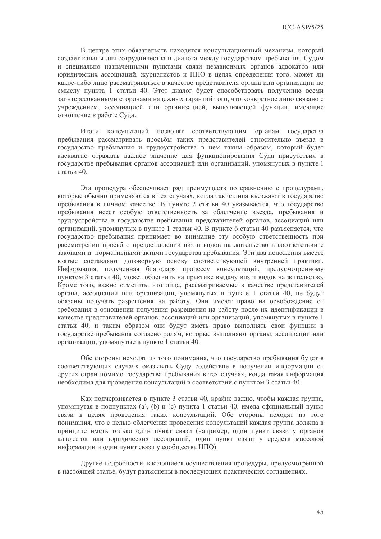В центре этих обязательств находится консультационный механизм, который создает каналы для сотрудничества и диалога между государством пребывания, Судом и специально назначенными пунктами связи независимых органов адвокатов или юридических ассоциаций, журналистов и НПО в целях определения того, может ли какое-либо лицо рассматриваться в качестве представителя органа или организации по смыслу пункта 1 статьи 40. Этот диалог будет способствовать получению всеми заинтересованными сторонами надежных гарантий того, что конкретное лицо связано с учреждением, ассоциацией или организацией, выполняющей функции, имеющие отношение к работе Суда.

Итоги консультаций позволят соответствующим органам государства пребывания рассматривать просьбы таких представителей относительно въезда в государство пребывания и трудоустройства в нем таким образом, который будет адекватно отражать важное значение для функционирования Суда присутствия в государстве пребывания органов ассоциаций или организаций, упомянутых в пункте 1 статьи 40.

Эта процедура обеспечивает ряд преимуществ по сравнению с процедурами. которые обычно применяются в тех случаях, когда такие лица въезжают в государство пребывания в личном качестве. В пункте 2 статьи 40 указывается, что государство пребывания несет особую ответственность за облегчение въезда, пребывания и трудоустройства в государстве пребывания представителей органов, ассоциаций или организаций, упомянутых в пункте 1 статьи 40. В пункте 6 статьи 40 разъясняется, что государство пребывания принимает во внимание эту особую ответственность при рассмотрении просьб о предоставлении виз и видов на жительство в соответствии с законами и нормативными актами государства пребывания. Эти два положения вместе взятые составляют договорную основу соответствующей внутренней практики. Информация, полученная благодаря процессу консультаций, предусмотренному пунктом 3 статьи 40, может облегчить на практике выдачу виз и видов на жительство. Кроме того, важно отметить, что лица, рассматриваемые в качестве представителей органа, ассоциации или организации, упомянутых в пункте 1 статьи 40, не будут обязаны получать разрешения на работу. Они имеют право на освобождение от требования в отношении получения разрешения на работу после их идентификации в качестве представителей органов, ассоциаций или организаций, упомянутых в пункте 1 статьи 40, и таким образом они будут иметь право выполнять свои функции в государстве пребывания согласно ролям, которые выполняют органы, ассоциации или организации, упомянутые в пункте 1 статьи 40.

Обе стороны исходят из того понимания, что государство пребывания будет в соответствующих случаях оказывать Суду содействие в получении информации от других стран помимо государства пребывания в тех случаях, когда такая информация необходима для проведения консультаций в соответствии с пунктом 3 статьи 40.

Как подчеркивается в пункте 3 статьи 40, крайне важно, чтобы каждая группа, упомянутая в подпунктах (а), (b) и (с) пункта 1 статьи 40, имела официальный пункт связи в целях проведения таких консультаций. Обе стороны исходят из того понимания, что с целью облегчения проведения консультаций каждая группа должна в принципе иметь только один пункт связи (например, один пункт связи у органов адвокатов или юридических ассоциаций, один пункт связи у средств массовой информации и один пункт связи у сообщества НПО).

Другие подробности, касающиеся осуществления процедуры, предусмотренной в настоящей статье, будут разъяснены в последующих практических соглашениях.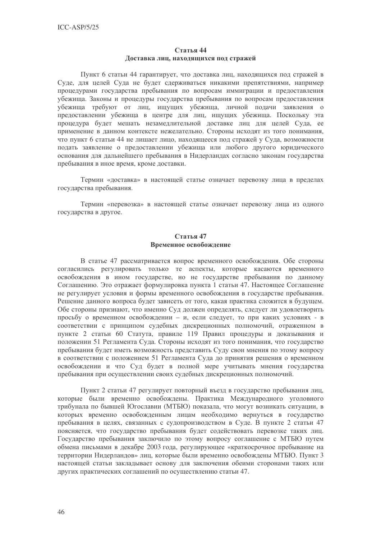#### Статья 44 Доставка лиц, находящихся под стражей

Пункт 6 статьи 44 гарантирует, что доставка лиц, находящихся под стражей в Суде, для целей Суда не будет сдерживаться никакими препятствиями, например процедурами государства пребывания по вопросам иммиграции и предоставления убежища. Законы и процедуры государства пребывания по вопросам предоставления убежища требуют от лиц, ищущих убежища, личной подачи заявления о предоставлении убежища в центре для лиц, ищущих убежища. Поскольку эта процедура будет мешать незамедлительной доставке лиц для целей Суда, ее применение в данном контексте нежелательно. Стороны исходят из того понимания, что пункт 6 статьи 44 не лишает лицо, находящееся под стражей у Суда, возможности подать заявление о предоставлении убежища или любого другого юридического основания для дальнейшего пребывания в Нидерландах согласно законам государства пребывания в иное время, кроме доставки.

Термин «лоставка» в настоящей статье означает перевозку лица в пределах государства пребывания.

Термин «перевозка» в настоящей статье означает перевозку лица из одного государства в другое.

# Статья 47 Временное освобождение

В статье 47 рассматривается вопрос временного освобождения. Обе стороны согласились регулировать только те аспекты, которые касаются временного освобождения в ином государстве, но не государстве пребывания по данному Соглашению. Это отражает формулировка пункта 1 статьи 47. Настоящее Соглашение не регулирует условия и формы временного освобождения в государстве пребывания. Решение данного вопроса будет зависеть от того, какая практика сложится в будущем. Обе стороны признают, что именно Суд должен определять, следует ли удовлетворить просьбу о временном освобождении - и, если следует, то при каких условиях - в соответствии с принципом судебных дискреционных полномочий, отраженном в пункте 2 статьи 60 Статута, правиле 119 Правил процедуры и доказывания и положении 51 Регламента Суда. Стороны исходят из того понимания, что государство пребывания будет иметь возможность представить Суду свои мнения по этому вопросу в соответствии с положением 51 Регламента Суда до принятия решения о временном освобождении и что Суд будет в полной мере учитывать мнения государства пребывания при осуществлении своих судебных дискреционных полномочий.

Пункт 2 статьи 47 регулирует повторный въезд в государство пребывания лиц, которые были временно освобождены. Практика Международного уголовного трибунала по бывшей Югославии (МТБЮ) показала, что могут возникать ситуации, в которых временно освобожденным лицам необходимо вернуться в государство пребывания в целях, связанных с судопроизводством в Суде. В пункте 2 статьи 47 поясняется, что государство пребывания будет содействовать перевозке таких лиц. Государство пребывания заключило по этому вопросу соглашение с МТБЮ путем обмена письмами в декабре 2003 года, регулирующее «краткосрочное пребывание на территории Нидерландов» лиц, которые были временно освобождены МТБЮ. Пункт 3 настоящей статьи закладывает основу для заключения обеими сторонами таких или других практических соглашений по осуществлению статьи 47.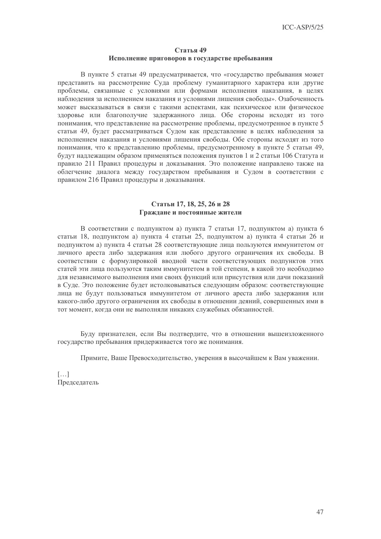#### Статья 49 Исполнение приговоров в государстве пребывания

В пункте 5 статьи 49 предусматривается, что «государство пребывания может представить на рассмотрение Суда проблему гуманитарного характера или другие проблемы, связанные с условиями или формами исполнения наказания, в целях наблюдения за исполнением наказания и условиями лишения свободы». Озабоченность может высказываться в связи с такими аспектами, как психическое или физическое здоровье или благополучие задержанного лица. Обе стороны исходят из того понимания, что представление на рассмотрение проблемы, предусмотренное в пункте 5 статьи 49, будет рассматриваться Судом как представление в целях наблюдения за исполнением наказания и условиями лишения свободы. Обе стороны исходят из того понимания, что к представлению проблемы, предусмотренному в пункте 5 статьи 49, будут надлежащим образом применяться положения пунктов 1 и 2 статьи 106 Статута и правило 211 Правил процедуры и доказывания. Это положение направлено также на облегчение диалога между государством пребывания и Судом в соответствии с правилом 216 Правил процедуры и доказывания.

#### Статьи 17, 18, 25, 26 и 28 Граждане и постоянные жители

В соответствии с подпунктом а) пункта 7 статьи 17, подпунктом а) пункта 6 статьи 18, подпунктом а) пункта 4 статьи 25, подпунктом а) пункта 4 статьи 26 и полпунктом а) пункта 4 статьи 28 соответствующие лица пользуются иммунитетом от личного ареста либо задержания или любого другого ограничения их свободы. В соответствии с формулировкой вводной части соответствующих подпунктов этих статей эти лица пользуются таким иммунитетом в той степени, в какой это необходимо для независимого выполнения ими своих функций или присутствия или дачи показаний в Суде. Это положение будет истолковываться следующим образом: соответствующие лица не будут пользоваться иммунитетом от личного ареста либо задержания или какого-либо другого ограничения их свободы в отношении деяний, совершенных ими в тот момент, когда они не выполняли никаких служебных обязанностей.

Буду признателен, если Вы подтвердите, что в отношении вышеизложенного государство пребывания придерживается того же понимания.

Примите, Ваше Превосходительство, уверения в высочайшем к Вам уважении.

 $\left[\ldots\right]$ Председатель